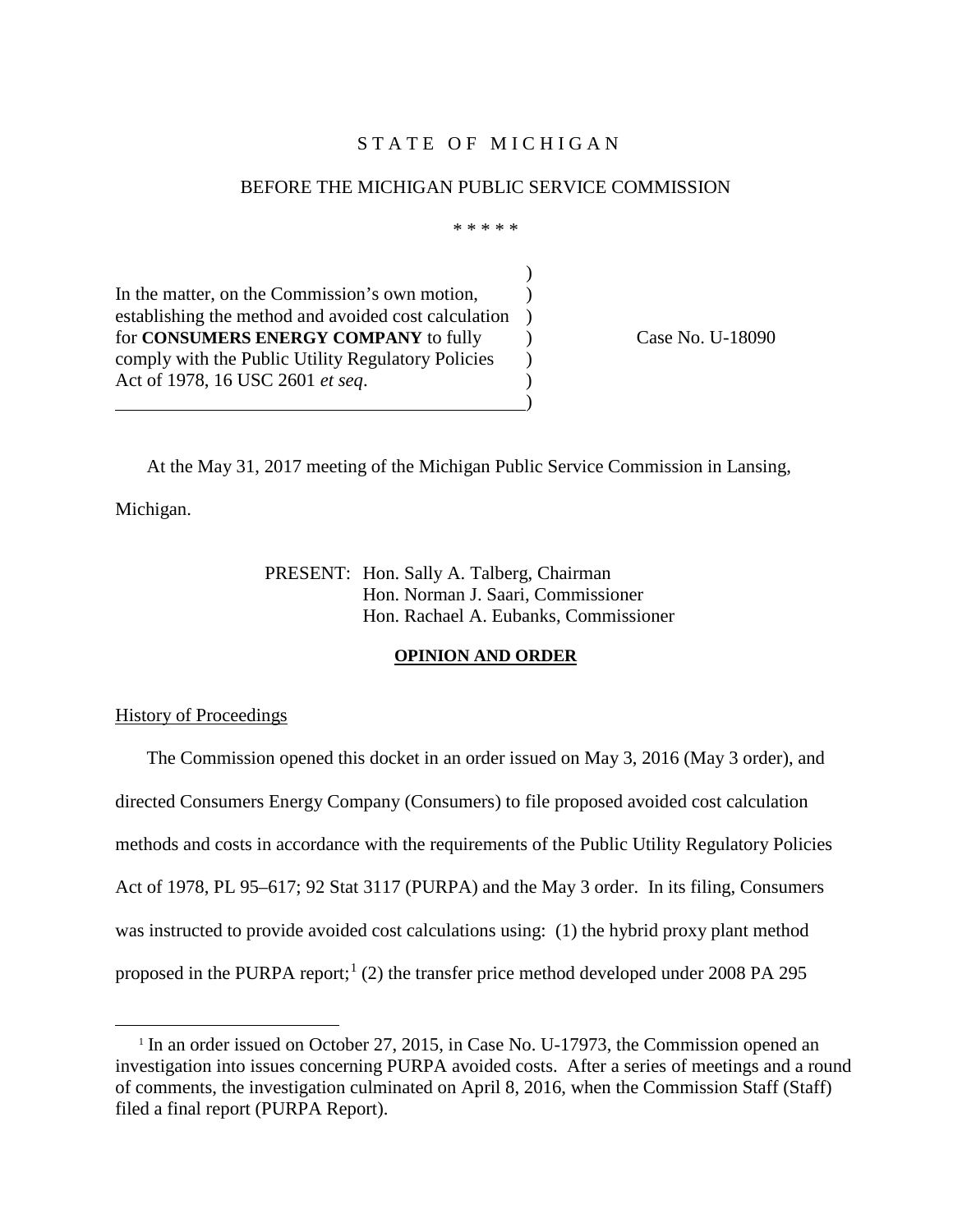### STATE OF MICHIGAN

#### BEFORE THE MICHIGAN PUBLIC SERVICE COMMISSION

\* \* \* \* \*

)

In the matter, on the Commission's own motion, establishing the method and avoided cost calculation ) for **CONSUMERS ENERGY COMPANY** to fully  $\qquad$  ) Case No. U-18090 comply with the Public Utility Regulatory Policies  $\qquad$  ) Act of 1978, 16 USC 2601 *et seq.*  $\qquad \qquad$ )

At the May 31, 2017 meeting of the Michigan Public Service Commission in Lansing,

Michigan.

-

PRESENT: Hon. Sally A. Talberg, Chairman Hon. Norman J. Saari, Commissioner Hon. Rachael A. Eubanks, Commissioner

#### **OPINION AND ORDER**

History of Proceedings

The Commission opened this docket in an order issued on May 3, 2016 (May 3 order), and directed Consumers Energy Company (Consumers) to file proposed avoided cost calculation methods and costs in accordance with the requirements of the Public Utility Regulatory Policies Act of 1978, PL 95–617; 92 Stat 3117 (PURPA) and the May 3 order. In its filing, Consumers was instructed to provide avoided cost calculations using: (1) the hybrid proxy plant method proposed in the PURPA report; [1](#page-0-0) (2) the transfer price method developed under 2008 PA 295

<span id="page-0-0"></span><sup>&</sup>lt;sup>1</sup> In an order issued on October 27, 2015, in Case No. U-17973, the Commission opened an investigation into issues concerning PURPA avoided costs. After a series of meetings and a round of comments, the investigation culminated on April 8, 2016, when the Commission Staff (Staff) filed a final report (PURPA Report).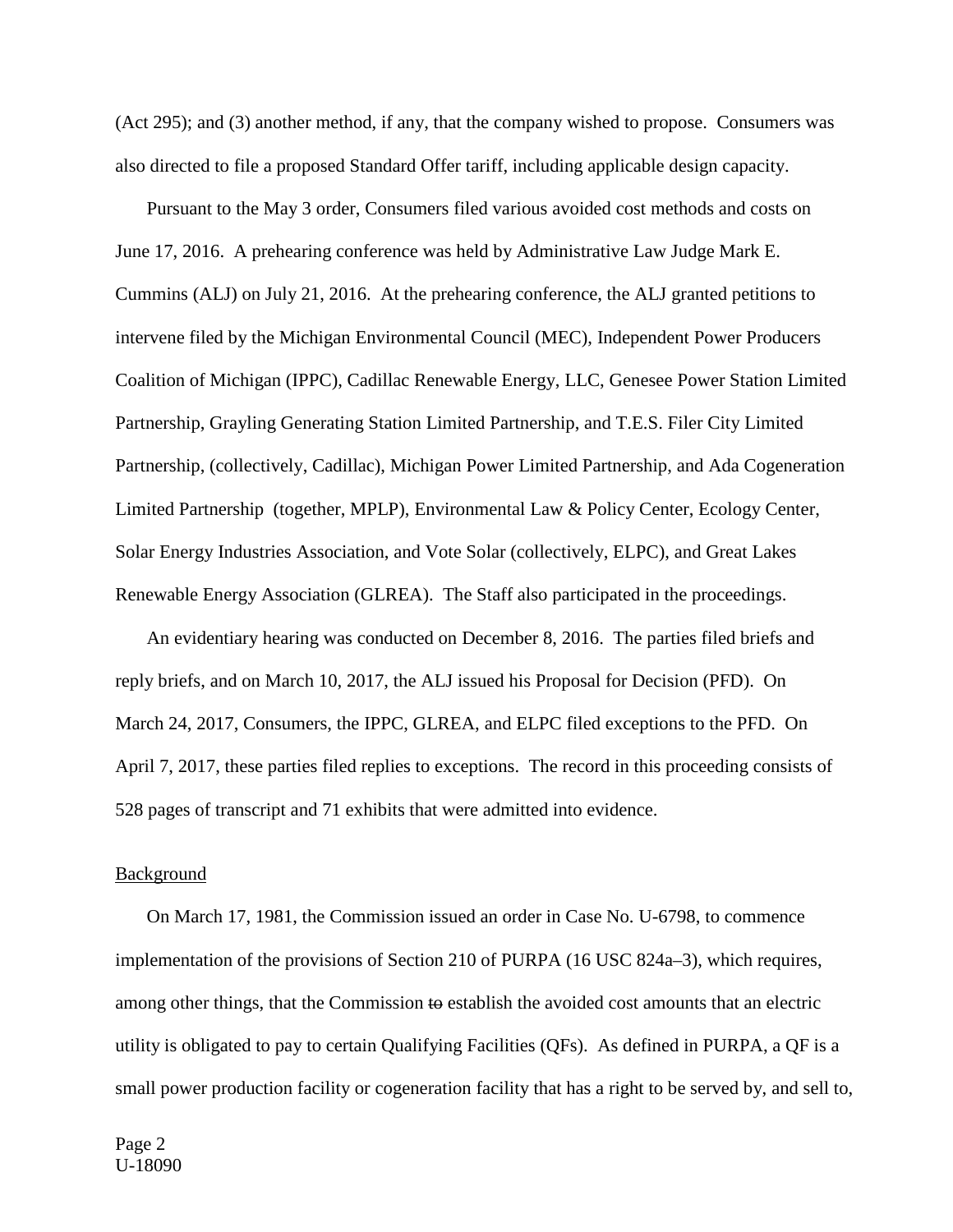(Act 295); and (3) another method, if any, that the company wished to propose. Consumers was also directed to file a proposed Standard Offer tariff, including applicable design capacity.

Pursuant to the May 3 order, Consumers filed various avoided cost methods and costs on June 17, 2016. A prehearing conference was held by Administrative Law Judge Mark E. Cummins (ALJ) on July 21, 2016. At the prehearing conference, the ALJ granted petitions to intervene filed by the Michigan Environmental Council (MEC), Independent Power Producers Coalition of Michigan (IPPC), Cadillac Renewable Energy, LLC, Genesee Power Station Limited Partnership, Grayling Generating Station Limited Partnership, and T.E.S. Filer City Limited Partnership, (collectively, Cadillac), Michigan Power Limited Partnership, and Ada Cogeneration Limited Partnership (together, MPLP), Environmental Law & Policy Center, Ecology Center, Solar Energy Industries Association, and Vote Solar (collectively, ELPC), and Great Lakes Renewable Energy Association (GLREA). The Staff also participated in the proceedings.

An evidentiary hearing was conducted on December 8, 2016. The parties filed briefs and reply briefs, and on March 10, 2017, the ALJ issued his Proposal for Decision (PFD). On March 24, 2017, Consumers, the IPPC, GLREA, and ELPC filed exceptions to the PFD. On April 7, 2017, these parties filed replies to exceptions. The record in this proceeding consists of 528 pages of transcript and 71 exhibits that were admitted into evidence.

#### Background

On March 17, 1981, the Commission issued an order in Case No. U-6798, to commence implementation of the provisions of Section 210 of PURPA (16 USC 824a–3), which requires, among other things, that the Commission to establish the avoided cost amounts that an electric utility is obligated to pay to certain Qualifying Facilities (QFs). As defined in PURPA, a QF is a small power production facility or cogeneration facility that has a right to be served by, and sell to,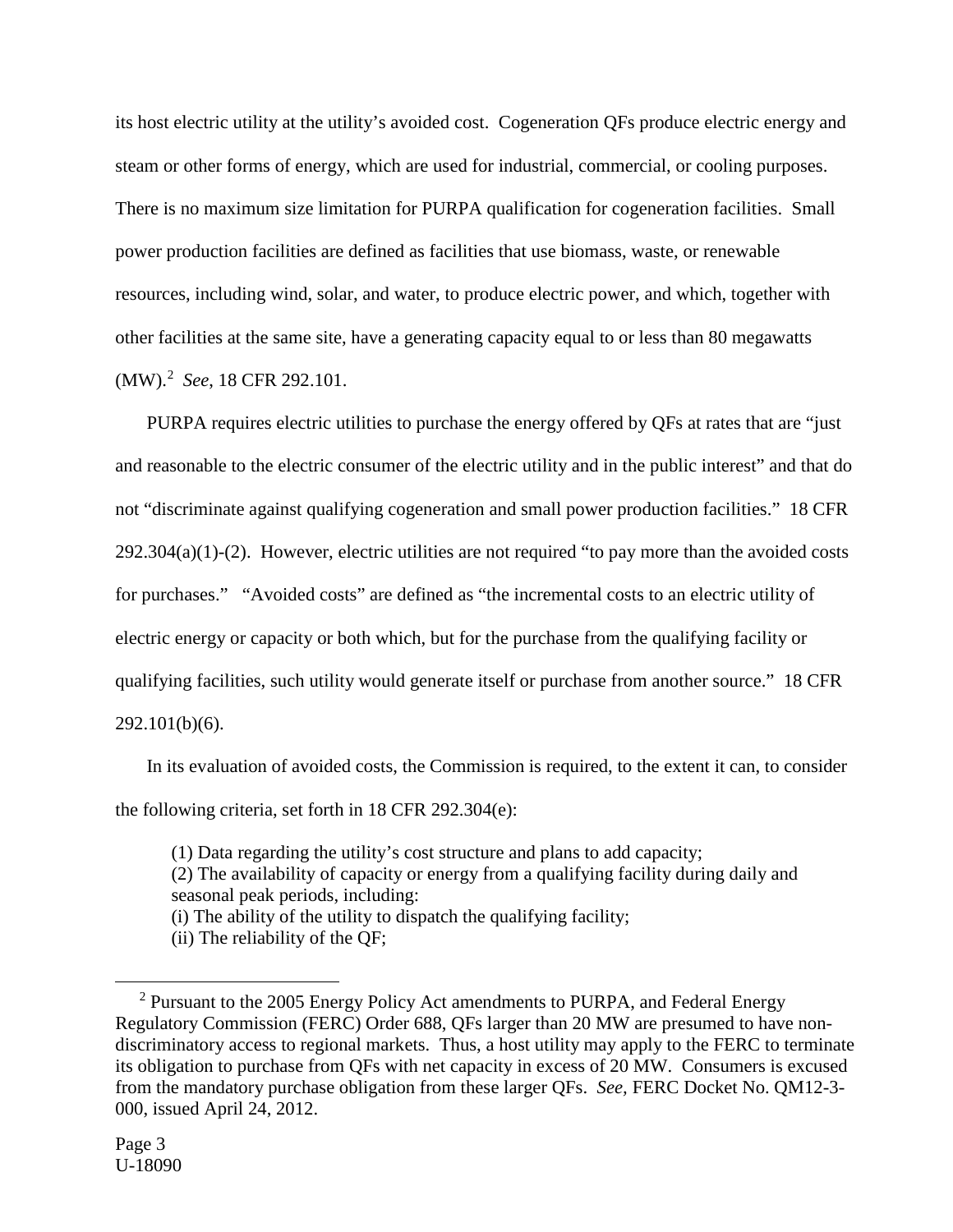its host electric utility at the utility's avoided cost. Cogeneration QFs produce electric energy and steam or other forms of energy, which are used for industrial, commercial, or cooling purposes. There is no maximum size limitation for PURPA qualification for cogeneration facilities. Small power production facilities are defined as facilities that use biomass, waste, or renewable resources, including wind, solar, and water, to produce electric power, and which, together with other facilities at the same site, have a generating capacity equal to or less than 80 megawatts (MW).[2](#page-2-0) *See*, 18 CFR 292.101.

PURPA requires electric utilities to purchase the energy offered by QFs at rates that are "just and reasonable to the electric consumer of the electric utility and in the public interest" and that do not "discriminate against qualifying cogeneration and small power production facilities." 18 CFR  $292.304(a)(1)-(2)$ . However, electric utilities are not required "to pay more than the avoided costs for purchases." "Avoided costs" are defined as "the incremental costs to an electric utility of electric energy or capacity or both which, but for the purchase from the qualifying facility or qualifying facilities, such utility would generate itself or purchase from another source." 18 CFR 292.101(b)(6).

In its evaluation of avoided costs, the Commission is required, to the extent it can, to consider the following criteria, set forth in 18 CFR 292.304(e):

(1) Data regarding the utility's cost structure and plans to add capacity;

(2) The availability of capacity or energy from a qualifying facility during daily and seasonal peak periods, including:

(i) The ability of the utility to dispatch the qualifying facility;

(ii) The reliability of the QF;

<u>.</u>

<span id="page-2-0"></span><sup>&</sup>lt;sup>2</sup> Pursuant to the 2005 Energy Policy Act amendments to PURPA, and Federal Energy Regulatory Commission (FERC) Order 688, QFs larger than 20 MW are presumed to have nondiscriminatory access to regional markets. Thus, a host utility may apply to the FERC to terminate its obligation to purchase from QFs with net capacity in excess of 20 MW. Consumers is excused from the mandatory purchase obligation from these larger QFs. *See,* FERC Docket No. QM12-3- 000, issued April 24, 2012.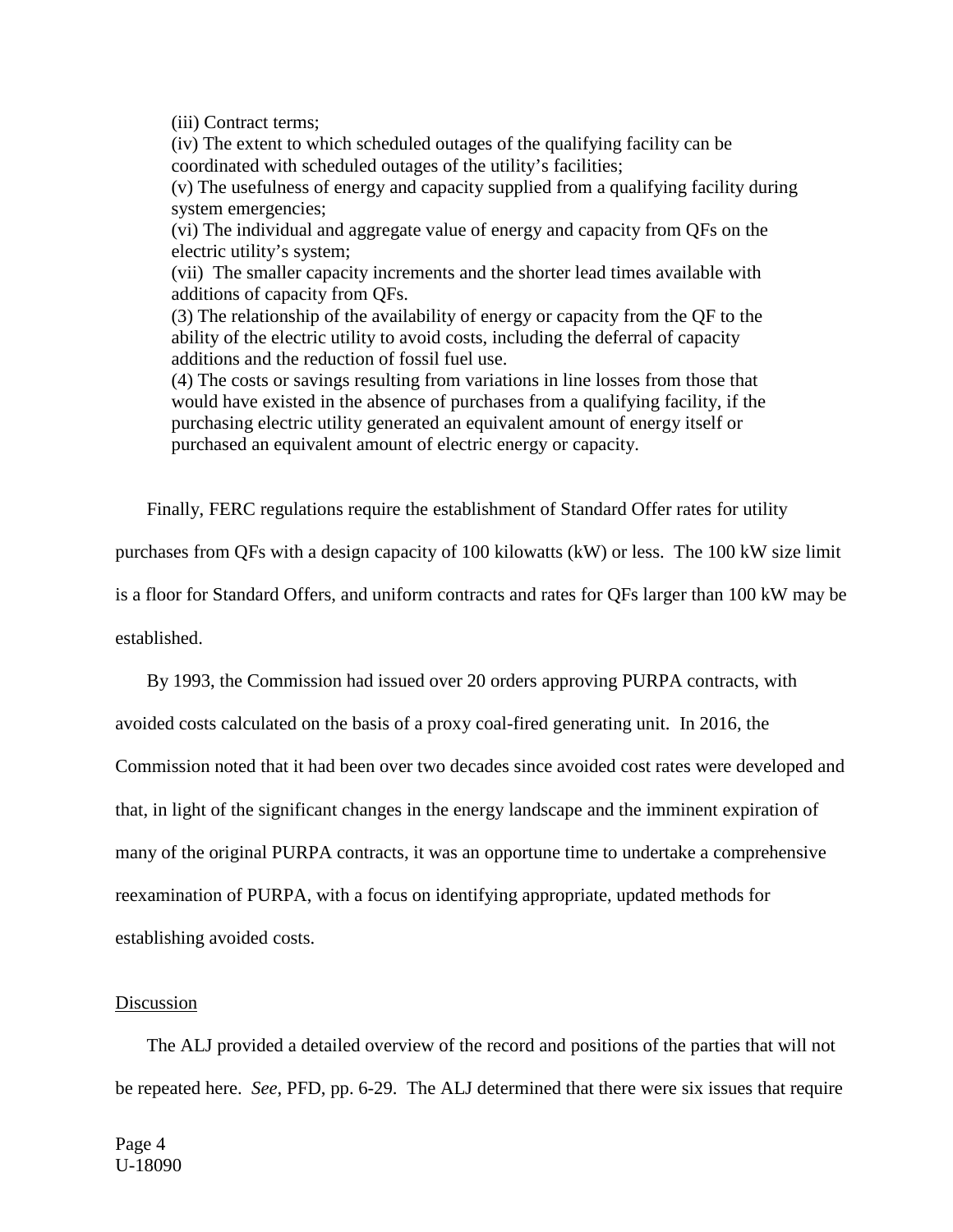(iii) Contract terms;

(iv) The extent to which scheduled outages of the qualifying facility can be coordinated with scheduled outages of the utility's facilities;

(v) The usefulness of energy and capacity supplied from a qualifying facility during system emergencies;

(vi) The individual and aggregate value of energy and capacity from QFs on the electric utility's system;

(vii) The smaller capacity increments and the shorter lead times available with additions of capacity from QFs.

(3) The relationship of the availability of energy or capacity from the QF to the ability of the electric utility to avoid costs, including the deferral of capacity additions and the reduction of fossil fuel use.

(4) The costs or savings resulting from variations in line losses from those that would have existed in the absence of purchases from a qualifying facility, if the purchasing electric utility generated an equivalent amount of energy itself or purchased an equivalent amount of electric energy or capacity.

Finally, FERC regulations require the establishment of Standard Offer rates for utility

purchases from QFs with a design capacity of 100 kilowatts (kW) or less. The 100 kW size limit

is a floor for Standard Offers, and uniform contracts and rates for QFs larger than 100 kW may be

established.

By 1993, the Commission had issued over 20 orders approving PURPA contracts, with

avoided costs calculated on the basis of a proxy coal-fired generating unit. In 2016, the

Commission noted that it had been over two decades since avoided cost rates were developed and

that, in light of the significant changes in the energy landscape and the imminent expiration of

many of the original PURPA contracts, it was an opportune time to undertake a comprehensive

reexamination of PURPA, with a focus on identifying appropriate, updated methods for

establishing avoided costs.

#### Discussion

The ALJ provided a detailed overview of the record and positions of the parties that will not be repeated here. *See*, PFD, pp. 6-29. The ALJ determined that there were six issues that require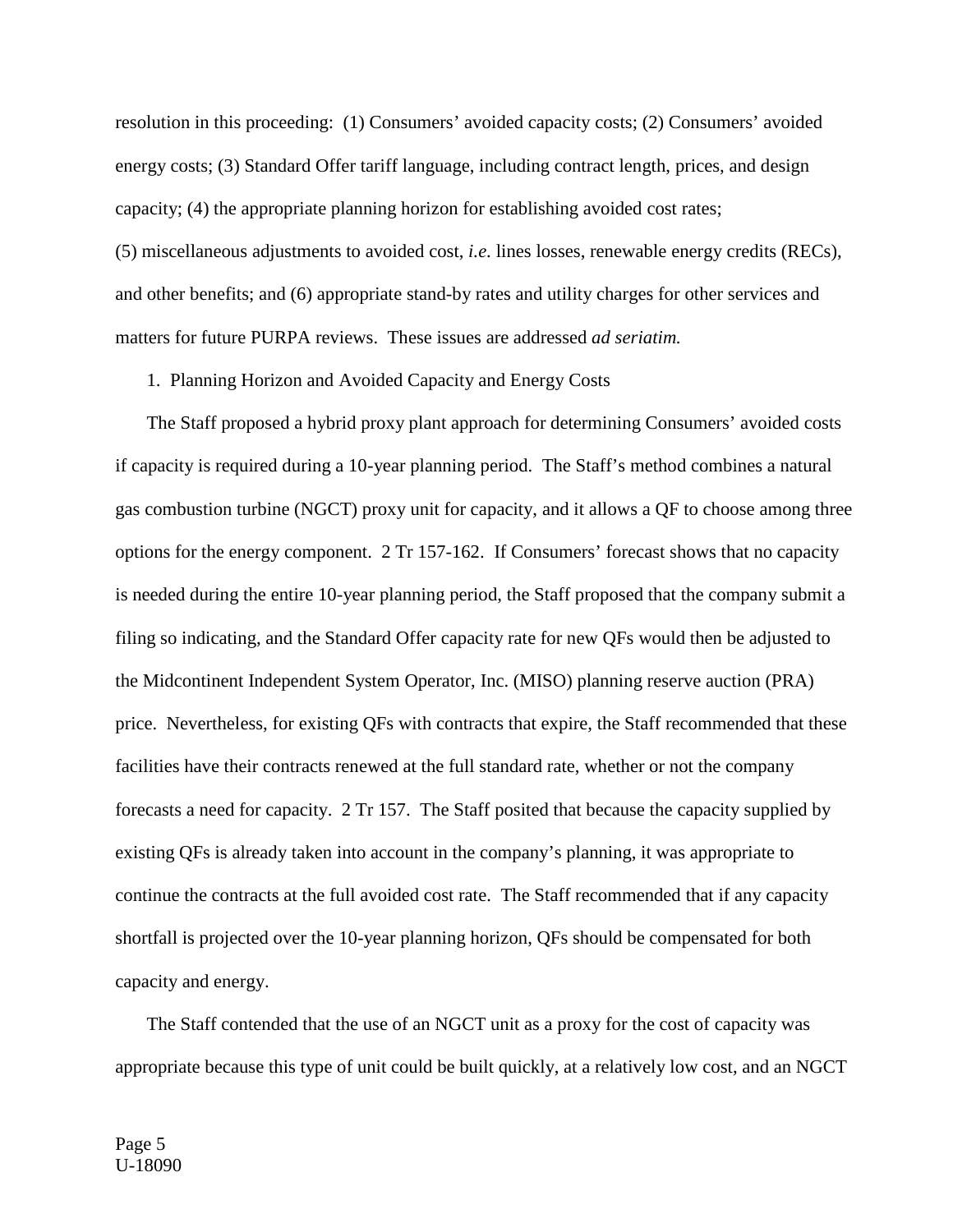resolution in this proceeding: (1) Consumers' avoided capacity costs; (2) Consumers' avoided energy costs; (3) Standard Offer tariff language, including contract length, prices, and design capacity; (4) the appropriate planning horizon for establishing avoided cost rates; (5) miscellaneous adjustments to avoided cost, *i.e.* lines losses, renewable energy credits (RECs), and other benefits; and (6) appropriate stand-by rates and utility charges for other services and matters for future PURPA reviews. These issues are addressed *ad seriatim.*

1. Planning Horizon and Avoided Capacity and Energy Costs

The Staff proposed a hybrid proxy plant approach for determining Consumers' avoided costs if capacity is required during a 10-year planning period. The Staff's method combines a natural gas combustion turbine (NGCT) proxy unit for capacity, and it allows a QF to choose among three options for the energy component. 2 Tr 157-162. If Consumers' forecast shows that no capacity is needed during the entire 10-year planning period, the Staff proposed that the company submit a filing so indicating, and the Standard Offer capacity rate for new QFs would then be adjusted to the Midcontinent Independent System Operator, Inc. (MISO) planning reserve auction (PRA) price. Nevertheless, for existing QFs with contracts that expire, the Staff recommended that these facilities have their contracts renewed at the full standard rate, whether or not the company forecasts a need for capacity. 2 Tr 157. The Staff posited that because the capacity supplied by existing QFs is already taken into account in the company's planning, it was appropriate to continue the contracts at the full avoided cost rate. The Staff recommended that if any capacity shortfall is projected over the 10-year planning horizon, QFs should be compensated for both capacity and energy.

The Staff contended that the use of an NGCT unit as a proxy for the cost of capacity was appropriate because this type of unit could be built quickly, at a relatively low cost, and an NGCT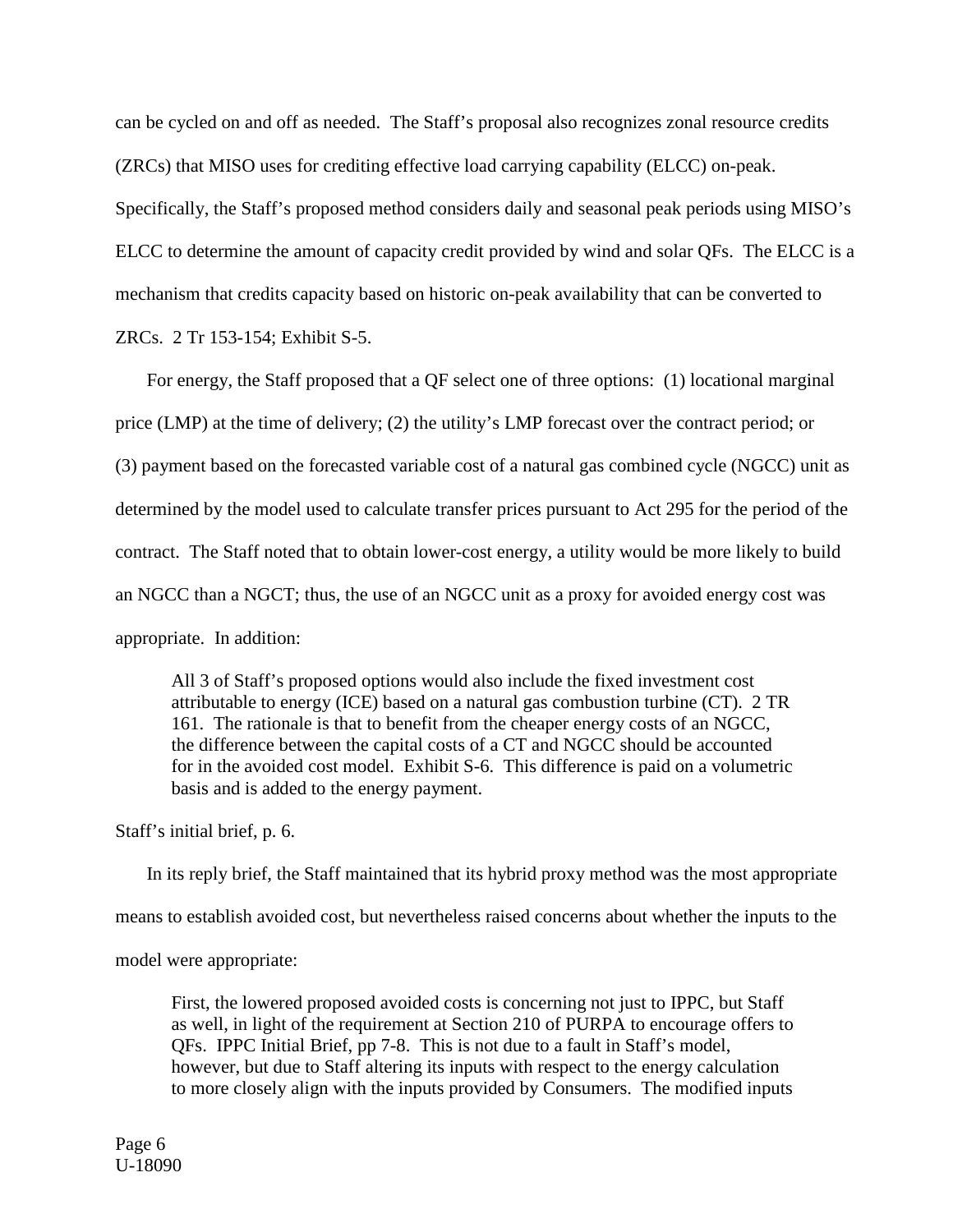can be cycled on and off as needed. The Staff's proposal also recognizes zonal resource credits (ZRCs) that MISO uses for crediting effective load carrying capability (ELCC) on-peak.

Specifically, the Staff's proposed method considers daily and seasonal peak periods using MISO's ELCC to determine the amount of capacity credit provided by wind and solar QFs. The ELCC is a mechanism that credits capacity based on historic on-peak availability that can be converted to

ZRCs. 2 Tr 153-154; Exhibit S-5.

For energy, the Staff proposed that a QF select one of three options: (1) locational marginal price (LMP) at the time of delivery; (2) the utility's LMP forecast over the contract period; or (3) payment based on the forecasted variable cost of a natural gas combined cycle (NGCC) unit as determined by the model used to calculate transfer prices pursuant to Act 295 for the period of the contract. The Staff noted that to obtain lower-cost energy, a utility would be more likely to build an NGCC than a NGCT; thus, the use of an NGCC unit as a proxy for avoided energy cost was appropriate. In addition:

All 3 of Staff's proposed options would also include the fixed investment cost attributable to energy (ICE) based on a natural gas combustion turbine (CT). 2 TR 161. The rationale is that to benefit from the cheaper energy costs of an NGCC, the difference between the capital costs of a CT and NGCC should be accounted for in the avoided cost model. Exhibit S-6. This difference is paid on a volumetric basis and is added to the energy payment.

Staff's initial brief, p. 6.

In its reply brief, the Staff maintained that its hybrid proxy method was the most appropriate means to establish avoided cost, but nevertheless raised concerns about whether the inputs to the model were appropriate:

First, the lowered proposed avoided costs is concerning not just to IPPC, but Staff as well, in light of the requirement at Section 210 of PURPA to encourage offers to QFs. IPPC Initial Brief, pp 7-8. This is not due to a fault in Staff's model, however, but due to Staff altering its inputs with respect to the energy calculation to more closely align with the inputs provided by Consumers. The modified inputs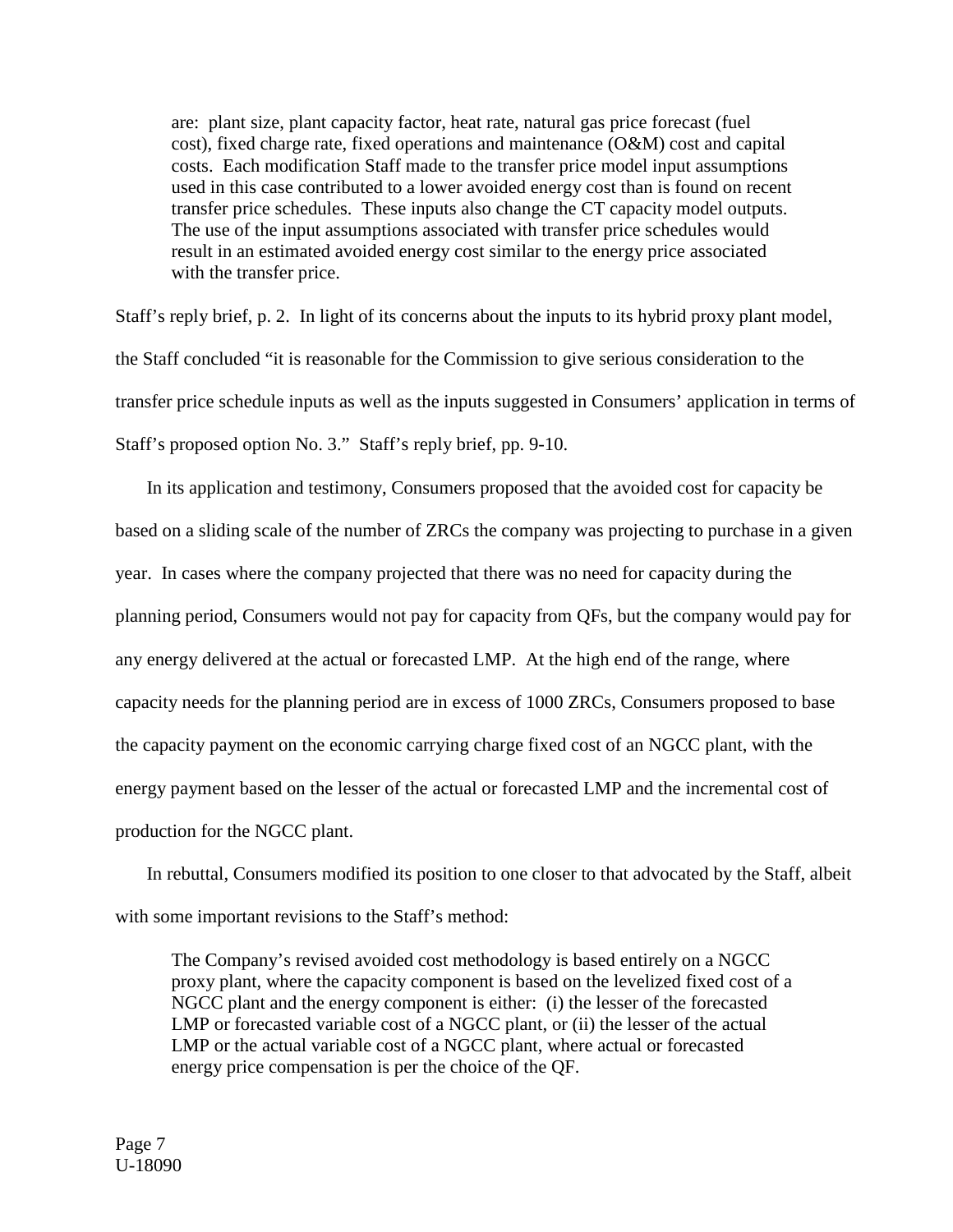are: plant size, plant capacity factor, heat rate, natural gas price forecast (fuel cost), fixed charge rate, fixed operations and maintenance (O&M) cost and capital costs. Each modification Staff made to the transfer price model input assumptions used in this case contributed to a lower avoided energy cost than is found on recent transfer price schedules. These inputs also change the CT capacity model outputs. The use of the input assumptions associated with transfer price schedules would result in an estimated avoided energy cost similar to the energy price associated with the transfer price.

Staff's reply brief, p. 2. In light of its concerns about the inputs to its hybrid proxy plant model, the Staff concluded "it is reasonable for the Commission to give serious consideration to the transfer price schedule inputs as well as the inputs suggested in Consumers' application in terms of Staff's proposed option No. 3." Staff's reply brief, pp. 9-10.

In its application and testimony, Consumers proposed that the avoided cost for capacity be based on a sliding scale of the number of ZRCs the company was projecting to purchase in a given year. In cases where the company projected that there was no need for capacity during the planning period, Consumers would not pay for capacity from QFs, but the company would pay for any energy delivered at the actual or forecasted LMP. At the high end of the range, where capacity needs for the planning period are in excess of 1000 ZRCs, Consumers proposed to base the capacity payment on the economic carrying charge fixed cost of an NGCC plant, with the energy payment based on the lesser of the actual or forecasted LMP and the incremental cost of production for the NGCC plant.

In rebuttal, Consumers modified its position to one closer to that advocated by the Staff, albeit with some important revisions to the Staff's method:

The Company's revised avoided cost methodology is based entirely on a NGCC proxy plant, where the capacity component is based on the levelized fixed cost of a NGCC plant and the energy component is either: (i) the lesser of the forecasted LMP or forecasted variable cost of a NGCC plant, or (ii) the lesser of the actual LMP or the actual variable cost of a NGCC plant, where actual or forecasted energy price compensation is per the choice of the QF.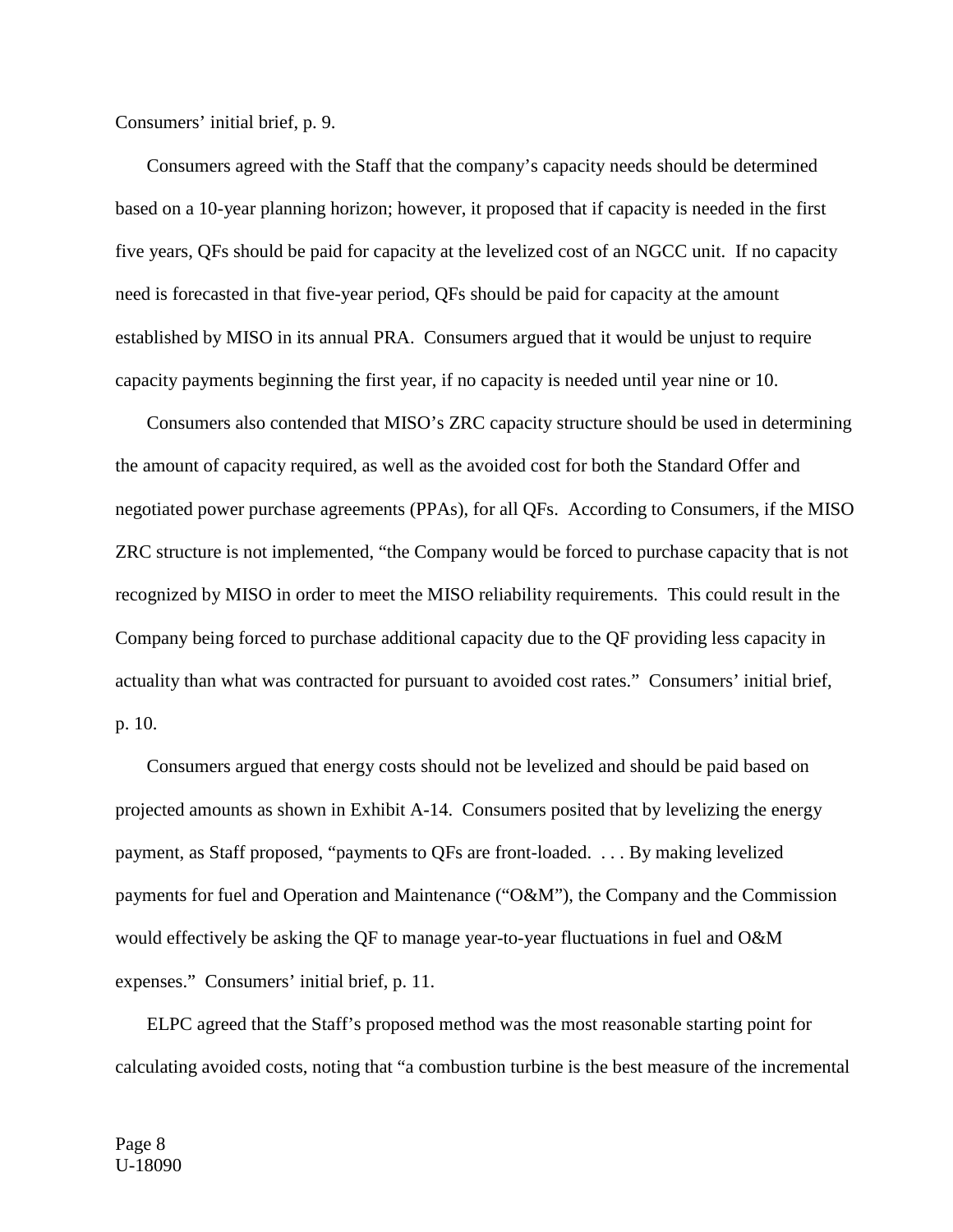Consumers' initial brief, p. 9.

Consumers agreed with the Staff that the company's capacity needs should be determined based on a 10-year planning horizon; however, it proposed that if capacity is needed in the first five years, QFs should be paid for capacity at the levelized cost of an NGCC unit. If no capacity need is forecasted in that five-year period, QFs should be paid for capacity at the amount established by MISO in its annual PRA. Consumers argued that it would be unjust to require capacity payments beginning the first year, if no capacity is needed until year nine or 10.

Consumers also contended that MISO's ZRC capacity structure should be used in determining the amount of capacity required, as well as the avoided cost for both the Standard Offer and negotiated power purchase agreements (PPAs), for all QFs. According to Consumers, if the MISO ZRC structure is not implemented, "the Company would be forced to purchase capacity that is not recognized by MISO in order to meet the MISO reliability requirements. This could result in the Company being forced to purchase additional capacity due to the QF providing less capacity in actuality than what was contracted for pursuant to avoided cost rates." Consumers' initial brief, p. 10.

Consumers argued that energy costs should not be levelized and should be paid based on projected amounts as shown in Exhibit A-14. Consumers posited that by levelizing the energy payment, as Staff proposed, "payments to QFs are front-loaded. . . . By making levelized payments for fuel and Operation and Maintenance ("O&M"), the Company and the Commission would effectively be asking the QF to manage year-to-year fluctuations in fuel and O&M expenses." Consumers' initial brief, p. 11.

ELPC agreed that the Staff's proposed method was the most reasonable starting point for calculating avoided costs, noting that "a combustion turbine is the best measure of the incremental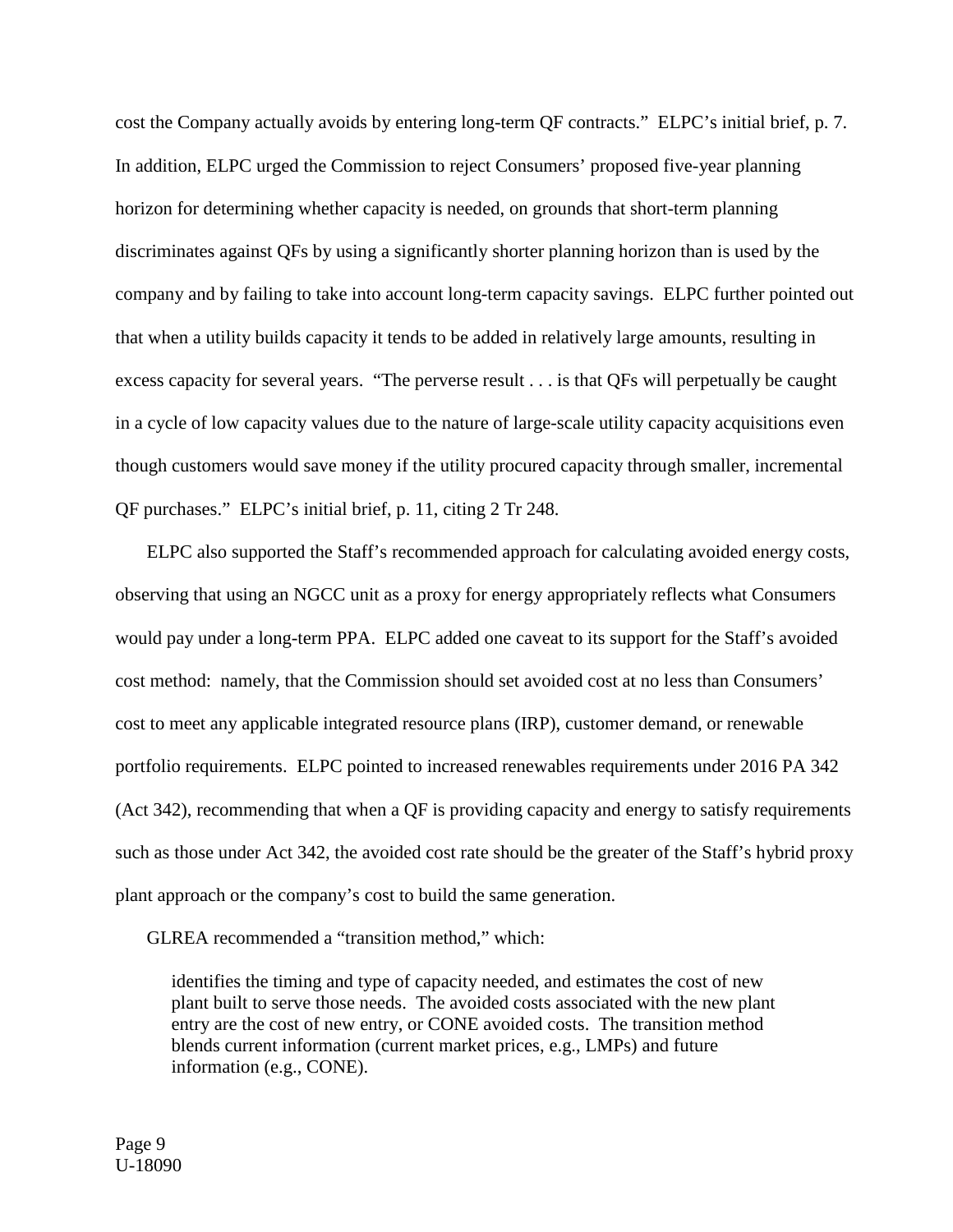cost the Company actually avoids by entering long-term QF contracts." ELPC's initial brief, p. 7. In addition, ELPC urged the Commission to reject Consumers' proposed five-year planning horizon for determining whether capacity is needed, on grounds that short-term planning discriminates against QFs by using a significantly shorter planning horizon than is used by the company and by failing to take into account long-term capacity savings. ELPC further pointed out that when a utility builds capacity it tends to be added in relatively large amounts, resulting in excess capacity for several years. "The perverse result . . . is that QFs will perpetually be caught in a cycle of low capacity values due to the nature of large-scale utility capacity acquisitions even though customers would save money if the utility procured capacity through smaller, incremental QF purchases." ELPC's initial brief, p. 11, citing 2 Tr 248.

ELPC also supported the Staff's recommended approach for calculating avoided energy costs, observing that using an NGCC unit as a proxy for energy appropriately reflects what Consumers would pay under a long-term PPA. ELPC added one caveat to its support for the Staff's avoided cost method: namely, that the Commission should set avoided cost at no less than Consumers' cost to meet any applicable integrated resource plans (IRP), customer demand, or renewable portfolio requirements. ELPC pointed to increased renewables requirements under 2016 PA 342 (Act 342), recommending that when a QF is providing capacity and energy to satisfy requirements such as those under Act 342, the avoided cost rate should be the greater of the Staff's hybrid proxy plant approach or the company's cost to build the same generation.

GLREA recommended a "transition method," which:

identifies the timing and type of capacity needed, and estimates the cost of new plant built to serve those needs. The avoided costs associated with the new plant entry are the cost of new entry, or CONE avoided costs. The transition method blends current information (current market prices, e.g., LMPs) and future information (e.g., CONE).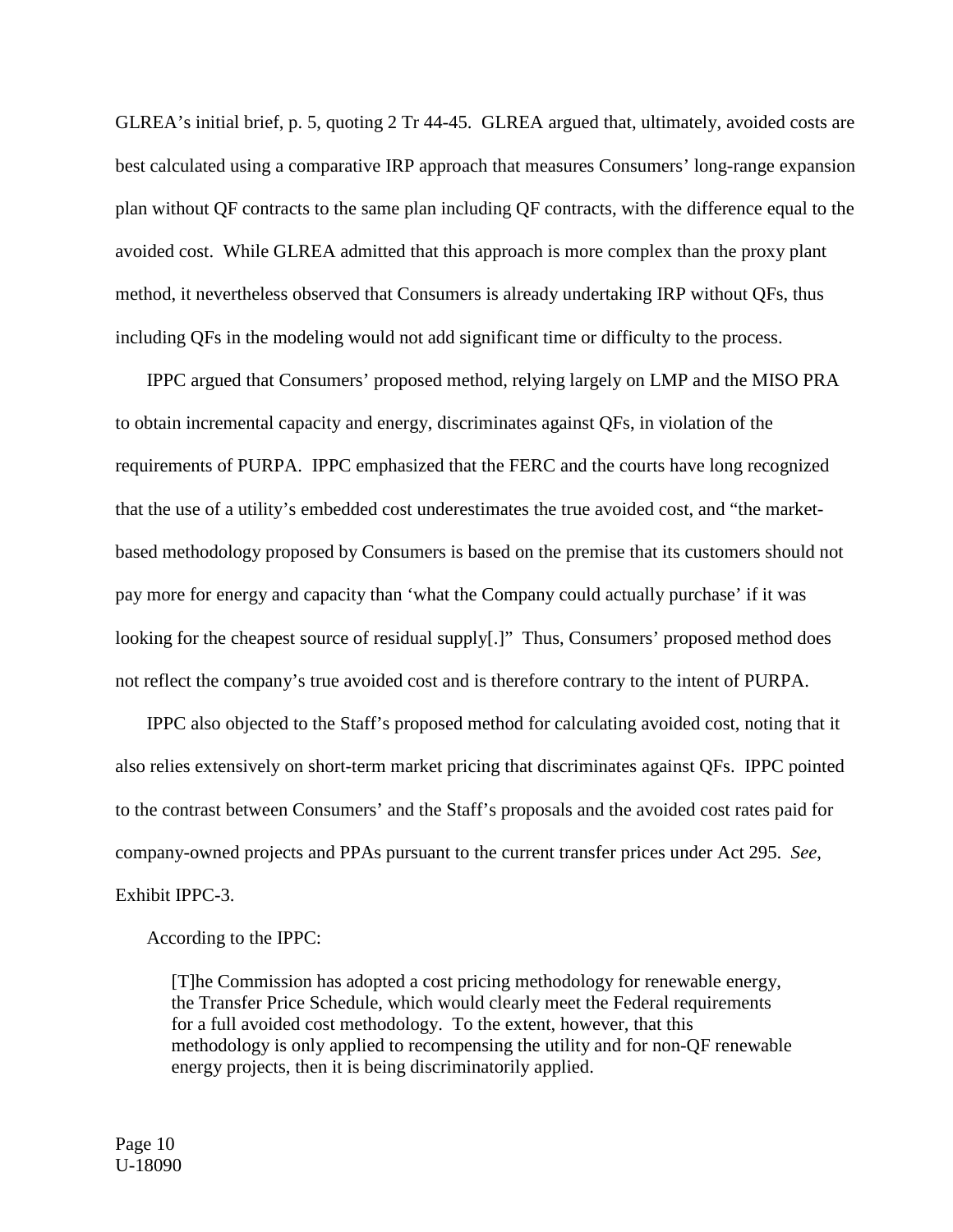GLREA's initial brief, p. 5, quoting 2 Tr 44-45. GLREA argued that, ultimately, avoided costs are best calculated using a comparative IRP approach that measures Consumers' long-range expansion plan without QF contracts to the same plan including QF contracts, with the difference equal to the avoided cost. While GLREA admitted that this approach is more complex than the proxy plant method, it nevertheless observed that Consumers is already undertaking IRP without QFs, thus including QFs in the modeling would not add significant time or difficulty to the process.

IPPC argued that Consumers' proposed method, relying largely on LMP and the MISO PRA to obtain incremental capacity and energy, discriminates against QFs, in violation of the requirements of PURPA. IPPC emphasized that the FERC and the courts have long recognized that the use of a utility's embedded cost underestimates the true avoided cost, and "the marketbased methodology proposed by Consumers is based on the premise that its customers should not pay more for energy and capacity than 'what the Company could actually purchase' if it was looking for the cheapest source of residual supply[.]" Thus, Consumers' proposed method does not reflect the company's true avoided cost and is therefore contrary to the intent of PURPA.

IPPC also objected to the Staff's proposed method for calculating avoided cost, noting that it also relies extensively on short-term market pricing that discriminates against QFs. IPPC pointed to the contrast between Consumers' and the Staff's proposals and the avoided cost rates paid for company-owned projects and PPAs pursuant to the current transfer prices under Act 295. *See*, Exhibit IPPC-3.

According to the IPPC:

[T]he Commission has adopted a cost pricing methodology for renewable energy, the Transfer Price Schedule, which would clearly meet the Federal requirements for a full avoided cost methodology. To the extent, however, that this methodology is only applied to recompensing the utility and for non-QF renewable energy projects, then it is being discriminatorily applied.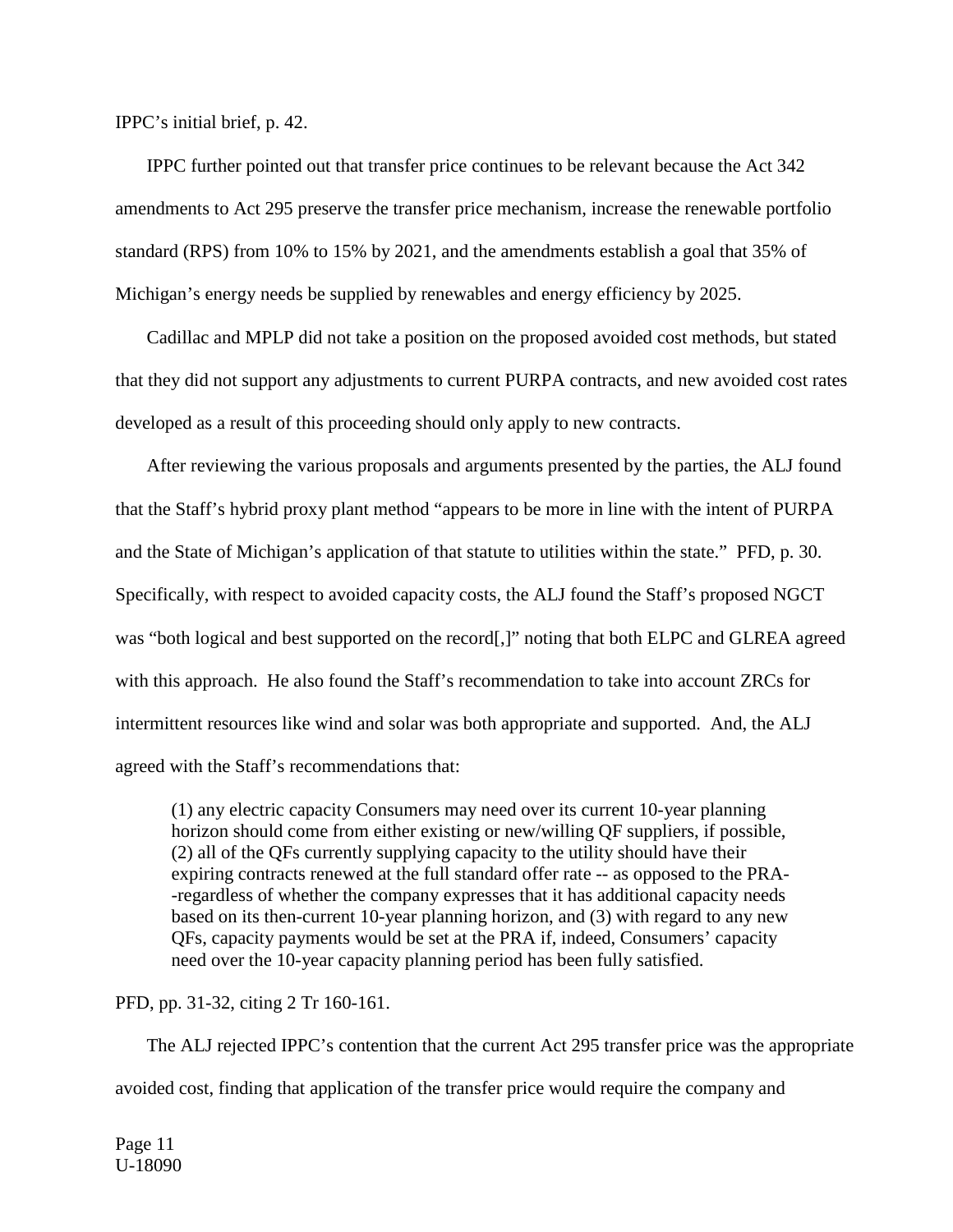IPPC's initial brief, p. 42.

IPPC further pointed out that transfer price continues to be relevant because the Act 342 amendments to Act 295 preserve the transfer price mechanism, increase the renewable portfolio standard (RPS) from 10% to 15% by 2021, and the amendments establish a goal that 35% of Michigan's energy needs be supplied by renewables and energy efficiency by 2025.

Cadillac and MPLP did not take a position on the proposed avoided cost methods, but stated that they did not support any adjustments to current PURPA contracts, and new avoided cost rates developed as a result of this proceeding should only apply to new contracts.

After reviewing the various proposals and arguments presented by the parties, the ALJ found that the Staff's hybrid proxy plant method "appears to be more in line with the intent of PURPA and the State of Michigan's application of that statute to utilities within the state." PFD, p. 30. Specifically, with respect to avoided capacity costs, the ALJ found the Staff's proposed NGCT was "both logical and best supported on the record[,]" noting that both ELPC and GLREA agreed with this approach. He also found the Staff's recommendation to take into account ZRCs for intermittent resources like wind and solar was both appropriate and supported. And, the ALJ agreed with the Staff's recommendations that:

(1) any electric capacity Consumers may need over its current 10-year planning horizon should come from either existing or new/willing QF suppliers, if possible, (2) all of the QFs currently supplying capacity to the utility should have their expiring contracts renewed at the full standard offer rate -- as opposed to the PRA- -regardless of whether the company expresses that it has additional capacity needs based on its then-current 10-year planning horizon, and (3) with regard to any new QFs, capacity payments would be set at the PRA if, indeed, Consumers' capacity need over the 10-year capacity planning period has been fully satisfied.

#### PFD, pp. 31-32, citing 2 Tr 160-161.

The ALJ rejected IPPC's contention that the current Act 295 transfer price was the appropriate avoided cost, finding that application of the transfer price would require the company and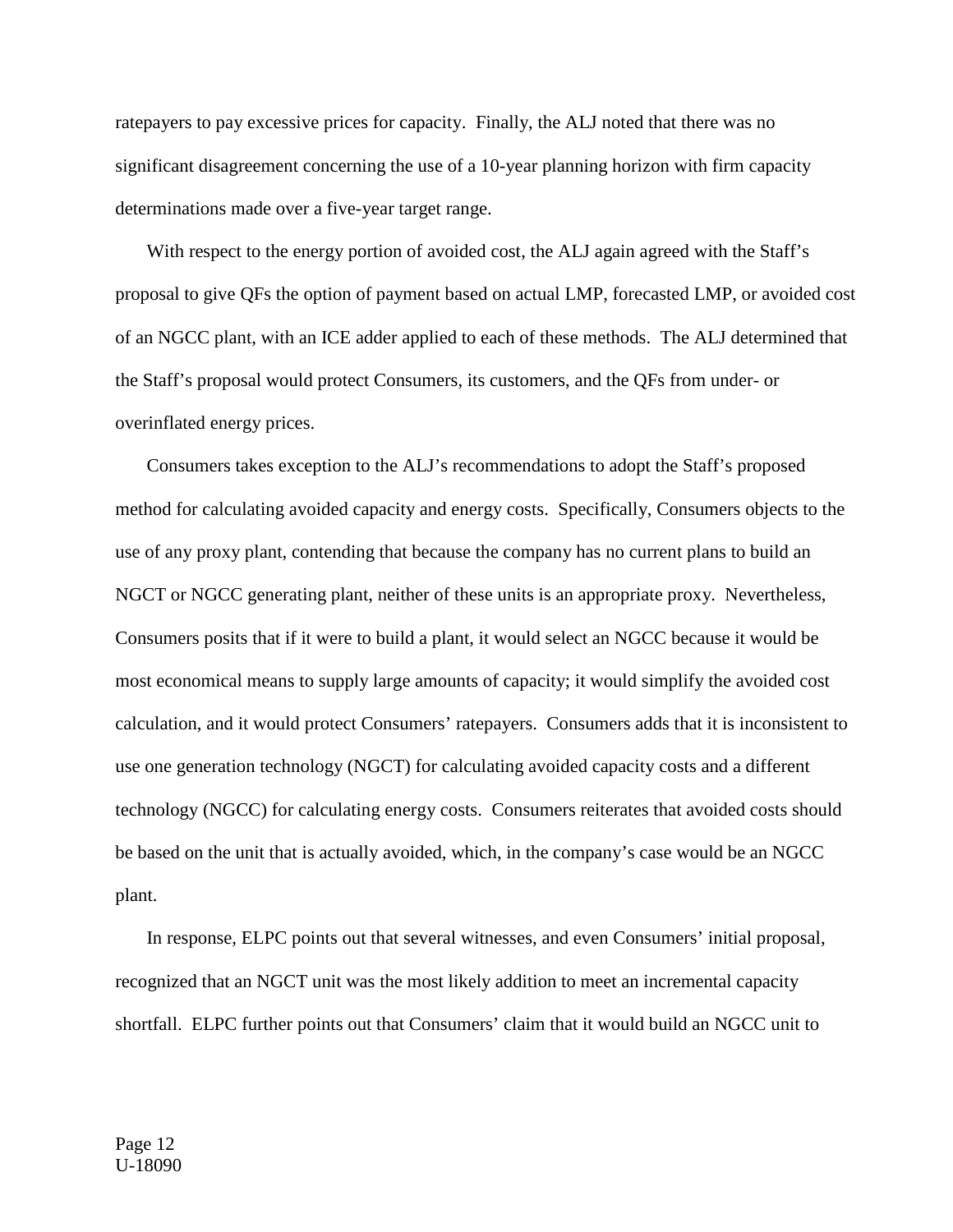ratepayers to pay excessive prices for capacity. Finally, the ALJ noted that there was no significant disagreement concerning the use of a 10-year planning horizon with firm capacity determinations made over a five-year target range.

With respect to the energy portion of avoided cost, the ALJ again agreed with the Staff's proposal to give QFs the option of payment based on actual LMP, forecasted LMP, or avoided cost of an NGCC plant, with an ICE adder applied to each of these methods. The ALJ determined that the Staff's proposal would protect Consumers, its customers, and the QFs from under- or overinflated energy prices.

Consumers takes exception to the ALJ's recommendations to adopt the Staff's proposed method for calculating avoided capacity and energy costs. Specifically, Consumers objects to the use of any proxy plant, contending that because the company has no current plans to build an NGCT or NGCC generating plant, neither of these units is an appropriate proxy. Nevertheless, Consumers posits that if it were to build a plant, it would select an NGCC because it would be most economical means to supply large amounts of capacity; it would simplify the avoided cost calculation, and it would protect Consumers' ratepayers. Consumers adds that it is inconsistent to use one generation technology (NGCT) for calculating avoided capacity costs and a different technology (NGCC) for calculating energy costs. Consumers reiterates that avoided costs should be based on the unit that is actually avoided, which, in the company's case would be an NGCC plant.

In response, ELPC points out that several witnesses, and even Consumers' initial proposal, recognized that an NGCT unit was the most likely addition to meet an incremental capacity shortfall. ELPC further points out that Consumers' claim that it would build an NGCC unit to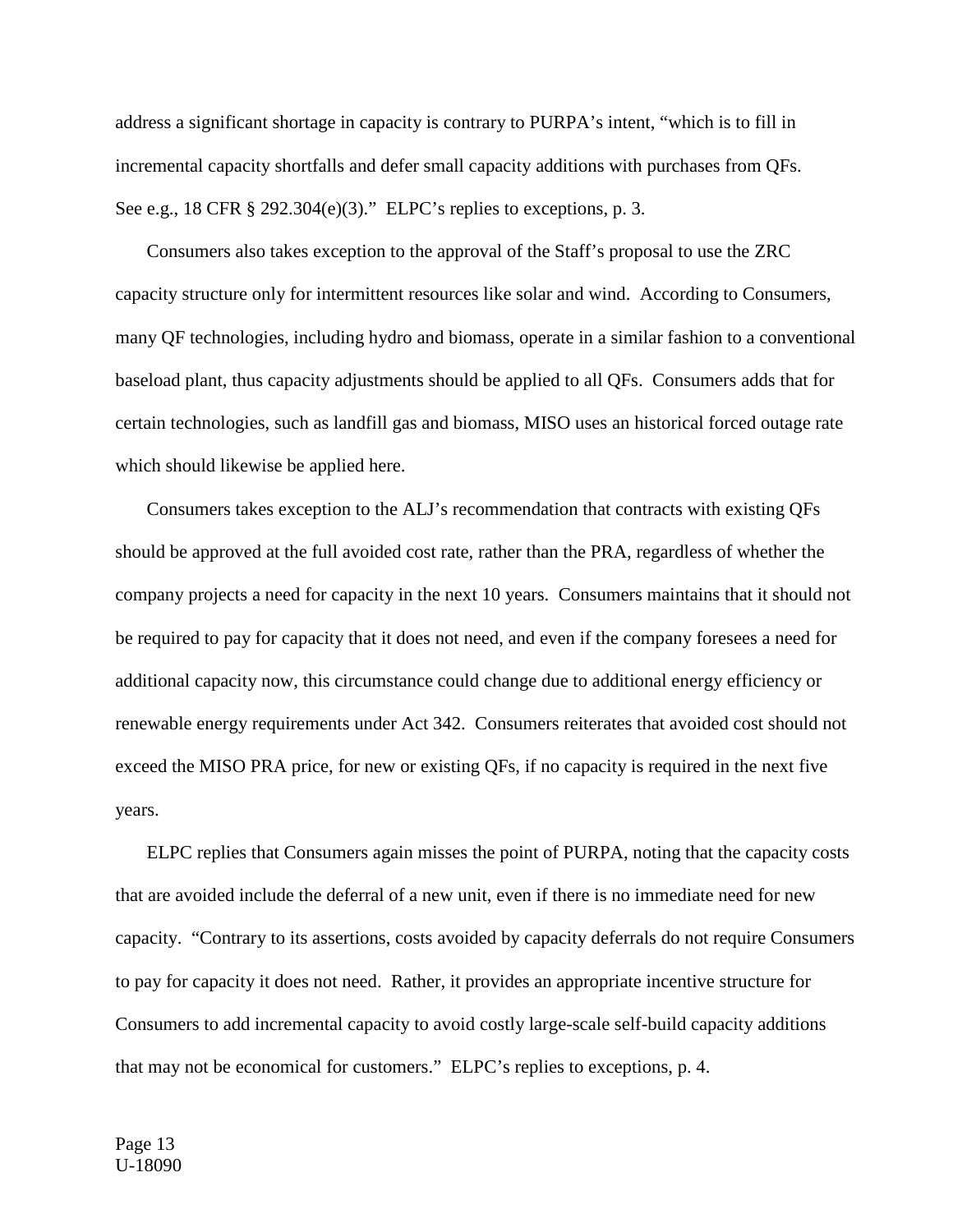address a significant shortage in capacity is contrary to PURPA's intent, "which is to fill in incremental capacity shortfalls and defer small capacity additions with purchases from QFs. See e.g., 18 CFR § 292.304(e)(3)." ELPC's replies to exceptions, p. 3.

Consumers also takes exception to the approval of the Staff's proposal to use the ZRC capacity structure only for intermittent resources like solar and wind. According to Consumers, many QF technologies, including hydro and biomass, operate in a similar fashion to a conventional baseload plant, thus capacity adjustments should be applied to all QFs. Consumers adds that for certain technologies, such as landfill gas and biomass, MISO uses an historical forced outage rate which should likewise be applied here.

Consumers takes exception to the ALJ's recommendation that contracts with existing QFs should be approved at the full avoided cost rate, rather than the PRA, regardless of whether the company projects a need for capacity in the next 10 years. Consumers maintains that it should not be required to pay for capacity that it does not need, and even if the company foresees a need for additional capacity now, this circumstance could change due to additional energy efficiency or renewable energy requirements under Act 342. Consumers reiterates that avoided cost should not exceed the MISO PRA price, for new or existing QFs, if no capacity is required in the next five years.

ELPC replies that Consumers again misses the point of PURPA, noting that the capacity costs that are avoided include the deferral of a new unit, even if there is no immediate need for new capacity. "Contrary to its assertions, costs avoided by capacity deferrals do not require Consumers to pay for capacity it does not need. Rather, it provides an appropriate incentive structure for Consumers to add incremental capacity to avoid costly large-scale self-build capacity additions that may not be economical for customers." ELPC's replies to exceptions, p. 4.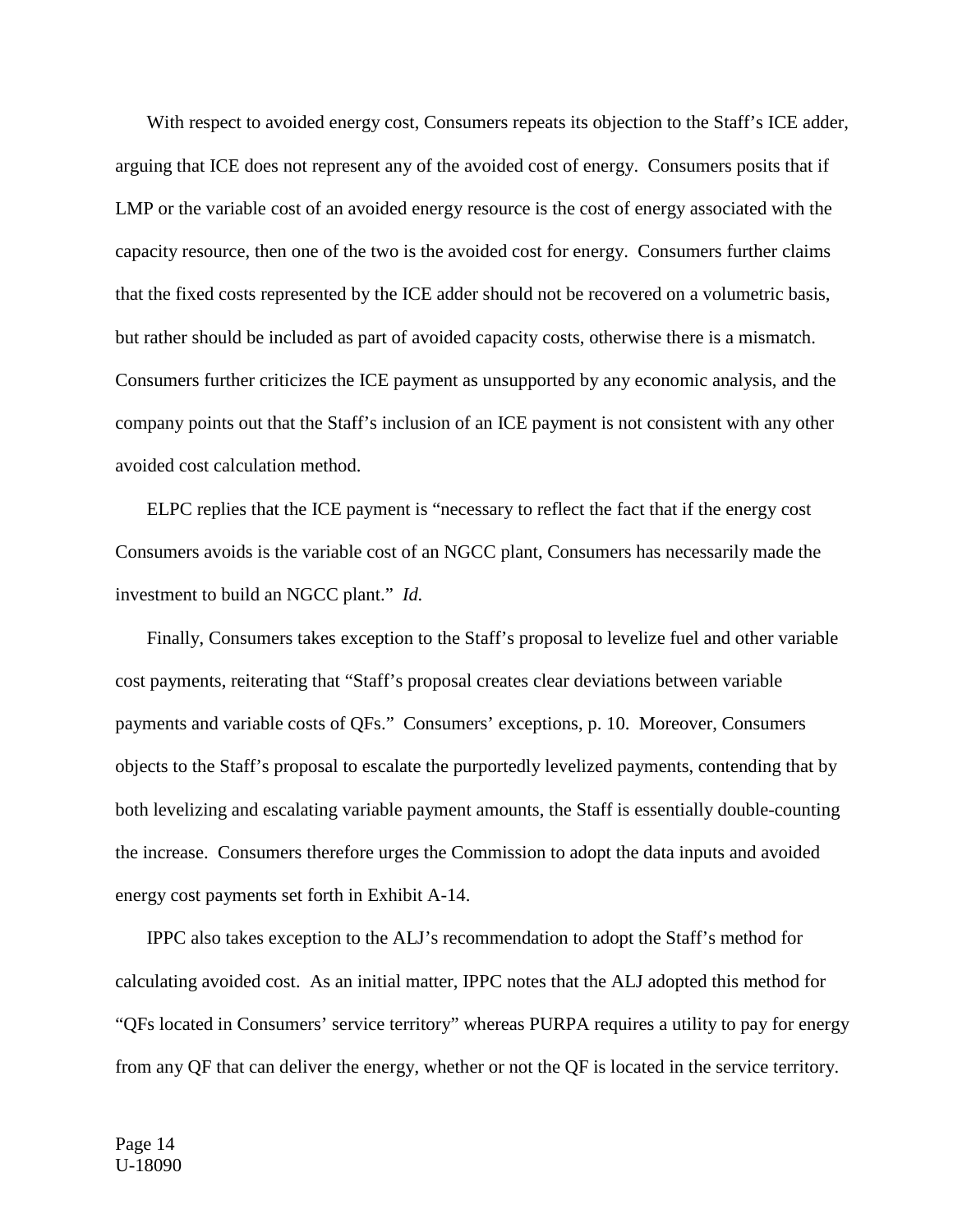With respect to avoided energy cost, Consumers repeats its objection to the Staff's ICE adder, arguing that ICE does not represent any of the avoided cost of energy. Consumers posits that if LMP or the variable cost of an avoided energy resource is the cost of energy associated with the capacity resource, then one of the two is the avoided cost for energy. Consumers further claims that the fixed costs represented by the ICE adder should not be recovered on a volumetric basis, but rather should be included as part of avoided capacity costs, otherwise there is a mismatch. Consumers further criticizes the ICE payment as unsupported by any economic analysis, and the company points out that the Staff's inclusion of an ICE payment is not consistent with any other avoided cost calculation method.

ELPC replies that the ICE payment is "necessary to reflect the fact that if the energy cost Consumers avoids is the variable cost of an NGCC plant, Consumers has necessarily made the investment to build an NGCC plant." *Id.*

Finally, Consumers takes exception to the Staff's proposal to levelize fuel and other variable cost payments, reiterating that "Staff's proposal creates clear deviations between variable payments and variable costs of QFs." Consumers' exceptions, p. 10. Moreover, Consumers objects to the Staff's proposal to escalate the purportedly levelized payments, contending that by both levelizing and escalating variable payment amounts, the Staff is essentially double-counting the increase. Consumers therefore urges the Commission to adopt the data inputs and avoided energy cost payments set forth in Exhibit A-14.

IPPC also takes exception to the ALJ's recommendation to adopt the Staff's method for calculating avoided cost. As an initial matter, IPPC notes that the ALJ adopted this method for "QFs located in Consumers' service territory" whereas PURPA requires a utility to pay for energy from any QF that can deliver the energy, whether or not the QF is located in the service territory.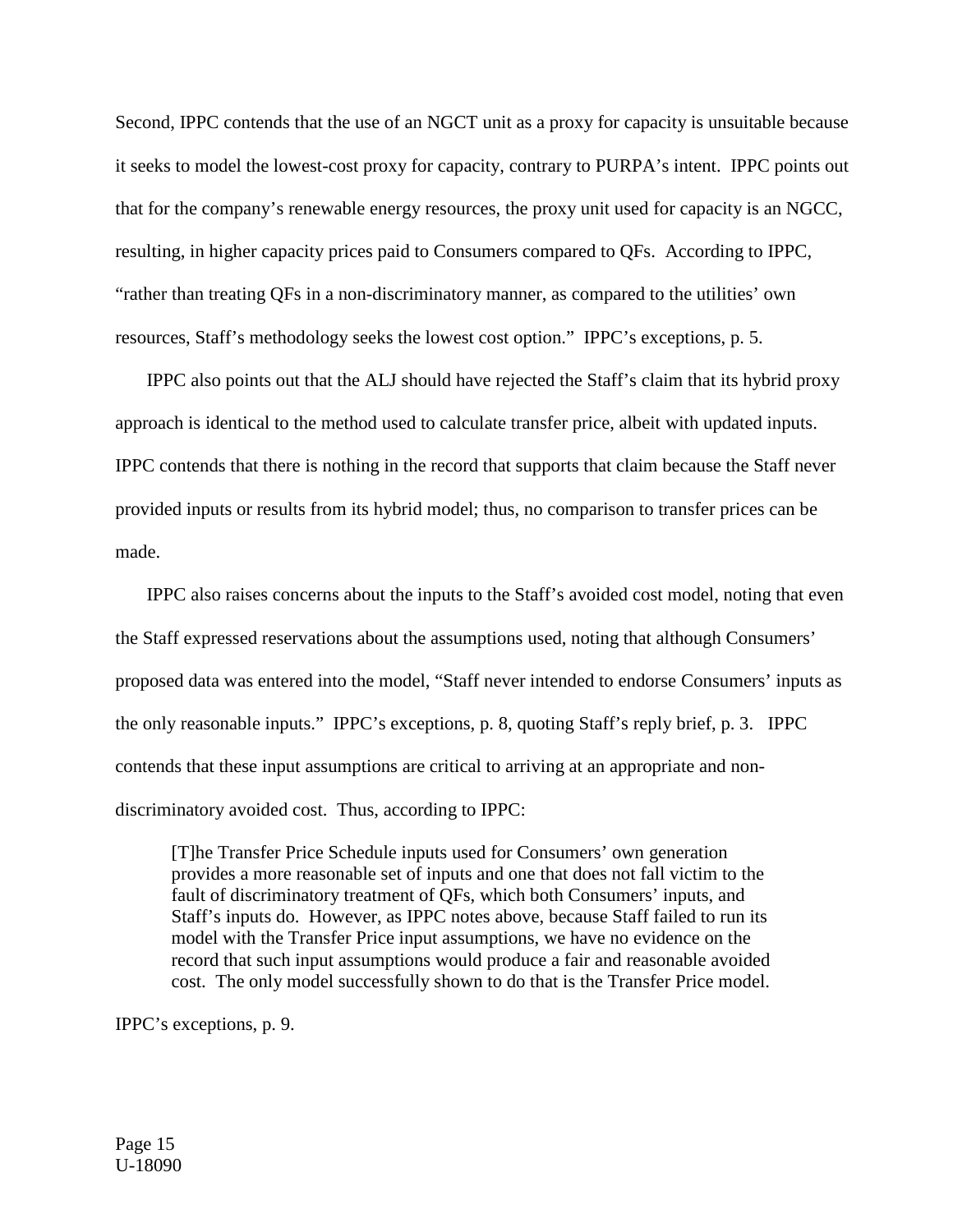Second, IPPC contends that the use of an NGCT unit as a proxy for capacity is unsuitable because it seeks to model the lowest-cost proxy for capacity, contrary to PURPA's intent. IPPC points out that for the company's renewable energy resources, the proxy unit used for capacity is an NGCC, resulting, in higher capacity prices paid to Consumers compared to QFs. According to IPPC, "rather than treating QFs in a non-discriminatory manner, as compared to the utilities' own resources, Staff's methodology seeks the lowest cost option." IPPC's exceptions, p. 5.

IPPC also points out that the ALJ should have rejected the Staff's claim that its hybrid proxy approach is identical to the method used to calculate transfer price, albeit with updated inputs. IPPC contends that there is nothing in the record that supports that claim because the Staff never provided inputs or results from its hybrid model; thus, no comparison to transfer prices can be made.

IPPC also raises concerns about the inputs to the Staff's avoided cost model, noting that even the Staff expressed reservations about the assumptions used, noting that although Consumers' proposed data was entered into the model, "Staff never intended to endorse Consumers' inputs as the only reasonable inputs." IPPC's exceptions, p. 8, quoting Staff's reply brief, p. 3. IPPC contends that these input assumptions are critical to arriving at an appropriate and nondiscriminatory avoided cost. Thus, according to IPPC:

[T]he Transfer Price Schedule inputs used for Consumers' own generation provides a more reasonable set of inputs and one that does not fall victim to the fault of discriminatory treatment of QFs, which both Consumers' inputs, and Staff's inputs do. However, as IPPC notes above, because Staff failed to run its model with the Transfer Price input assumptions, we have no evidence on the record that such input assumptions would produce a fair and reasonable avoided cost. The only model successfully shown to do that is the Transfer Price model.

IPPC's exceptions, p. 9.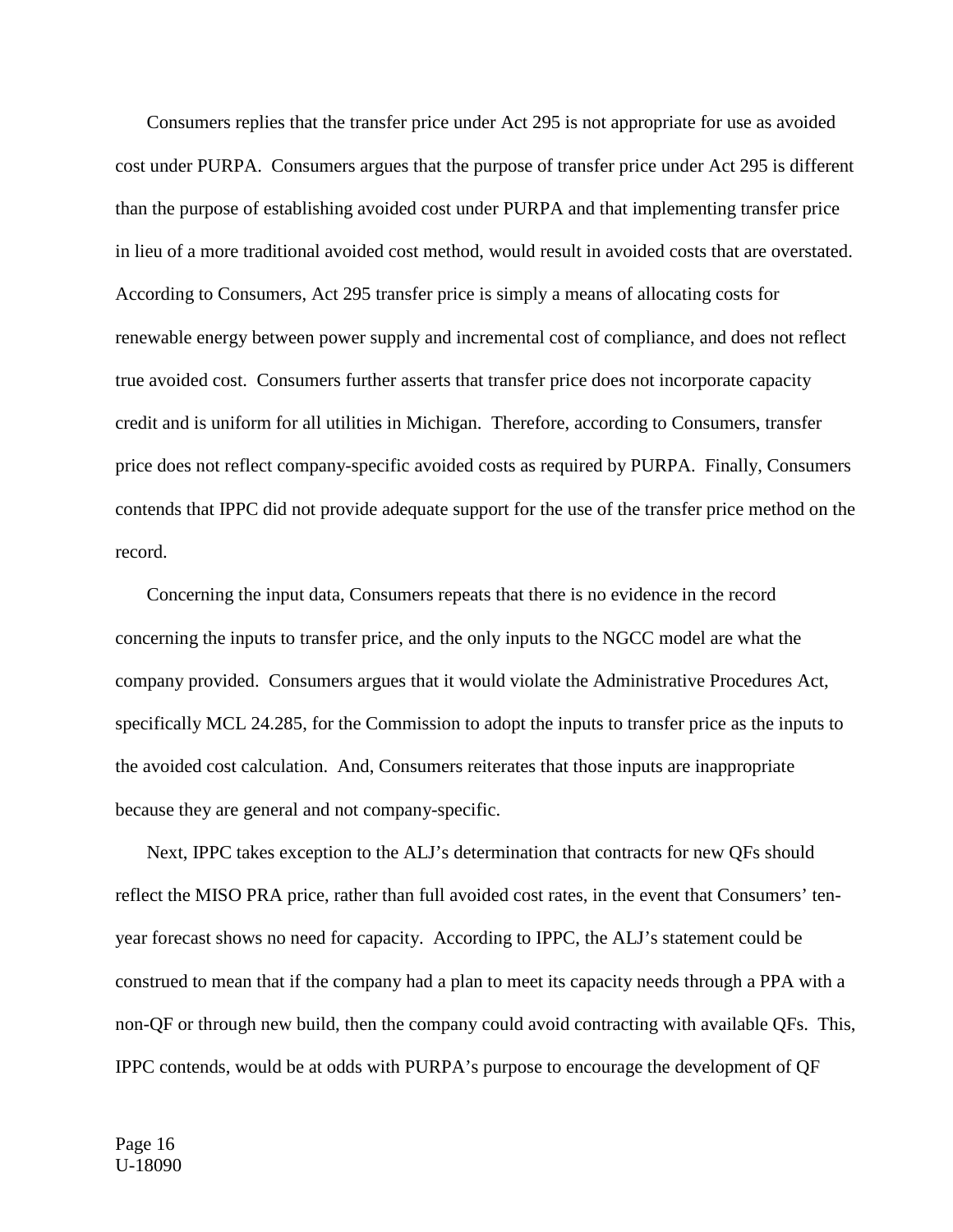Consumers replies that the transfer price under Act 295 is not appropriate for use as avoided cost under PURPA. Consumers argues that the purpose of transfer price under Act 295 is different than the purpose of establishing avoided cost under PURPA and that implementing transfer price in lieu of a more traditional avoided cost method, would result in avoided costs that are overstated. According to Consumers, Act 295 transfer price is simply a means of allocating costs for renewable energy between power supply and incremental cost of compliance, and does not reflect true avoided cost. Consumers further asserts that transfer price does not incorporate capacity credit and is uniform for all utilities in Michigan. Therefore, according to Consumers, transfer price does not reflect company-specific avoided costs as required by PURPA. Finally, Consumers contends that IPPC did not provide adequate support for the use of the transfer price method on the record.

Concerning the input data, Consumers repeats that there is no evidence in the record concerning the inputs to transfer price, and the only inputs to the NGCC model are what the company provided. Consumers argues that it would violate the Administrative Procedures Act, specifically MCL 24.285, for the Commission to adopt the inputs to transfer price as the inputs to the avoided cost calculation. And, Consumers reiterates that those inputs are inappropriate because they are general and not company-specific.

Next, IPPC takes exception to the ALJ's determination that contracts for new QFs should reflect the MISO PRA price, rather than full avoided cost rates, in the event that Consumers' tenyear forecast shows no need for capacity. According to IPPC, the ALJ's statement could be construed to mean that if the company had a plan to meet its capacity needs through a PPA with a non-QF or through new build, then the company could avoid contracting with available QFs. This, IPPC contends, would be at odds with PURPA's purpose to encourage the development of QF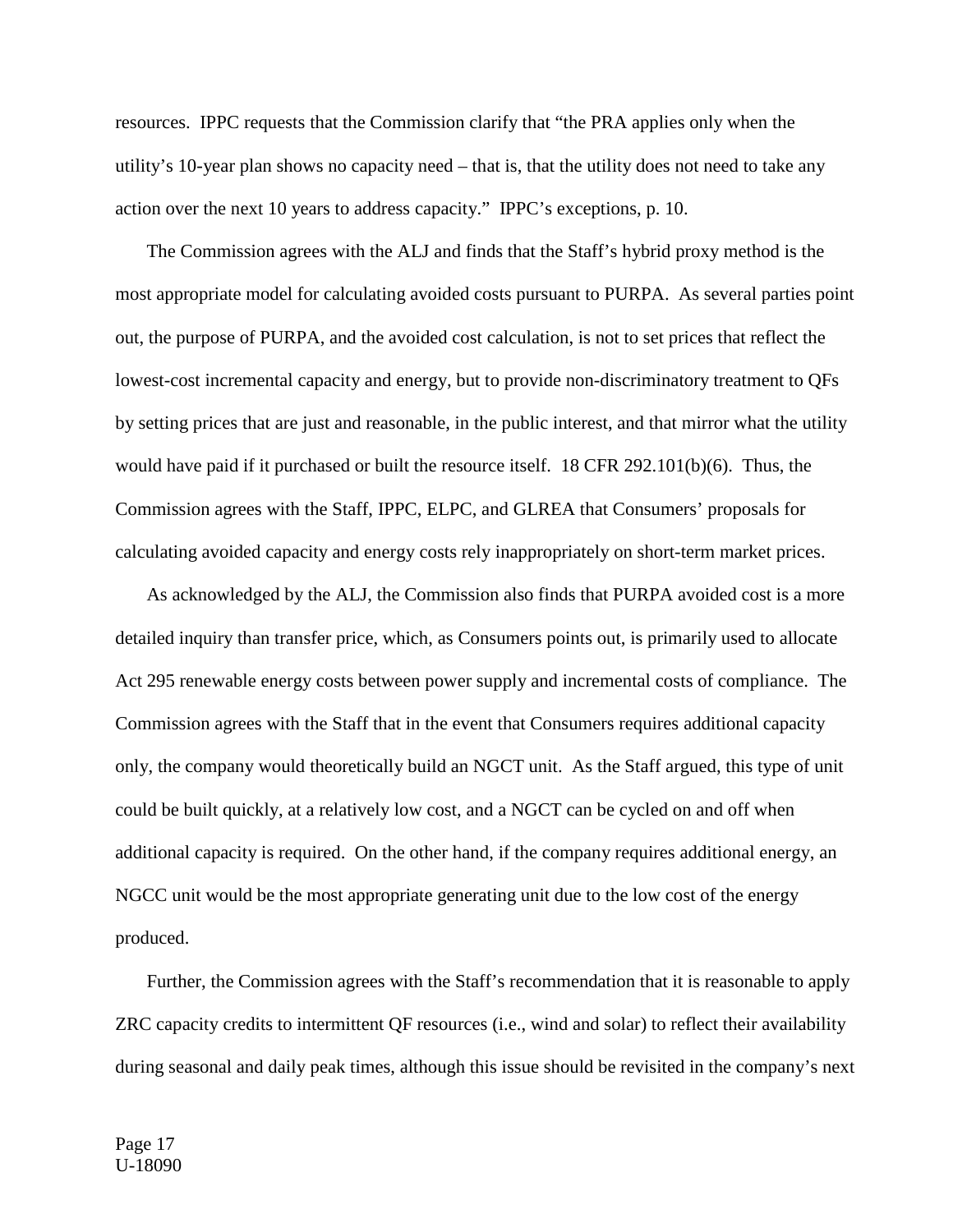resources. IPPC requests that the Commission clarify that "the PRA applies only when the utility's 10-year plan shows no capacity need – that is, that the utility does not need to take any action over the next 10 years to address capacity." IPPC's exceptions, p. 10.

The Commission agrees with the ALJ and finds that the Staff's hybrid proxy method is the most appropriate model for calculating avoided costs pursuant to PURPA. As several parties point out, the purpose of PURPA, and the avoided cost calculation, is not to set prices that reflect the lowest-cost incremental capacity and energy, but to provide non-discriminatory treatment to QFs by setting prices that are just and reasonable, in the public interest, and that mirror what the utility would have paid if it purchased or built the resource itself. 18 CFR 292.101(b)(6).Thus, the Commission agrees with the Staff, IPPC, ELPC, and GLREA that Consumers' proposals for calculating avoided capacity and energy costs rely inappropriately on short-term market prices.

As acknowledged by the ALJ, the Commission also finds that PURPA avoided cost is a more detailed inquiry than transfer price, which, as Consumers points out, is primarily used to allocate Act 295 renewable energy costs between power supply and incremental costs of compliance. The Commission agrees with the Staff that in the event that Consumers requires additional capacity only, the company would theoretically build an NGCT unit. As the Staff argued, this type of unit could be built quickly, at a relatively low cost, and a NGCT can be cycled on and off when additional capacity is required. On the other hand, if the company requires additional energy, an NGCC unit would be the most appropriate generating unit due to the low cost of the energy produced.

Further, the Commission agrees with the Staff's recommendation that it is reasonable to apply ZRC capacity credits to intermittent QF resources (i.e., wind and solar) to reflect their availability during seasonal and daily peak times, although this issue should be revisited in the company's next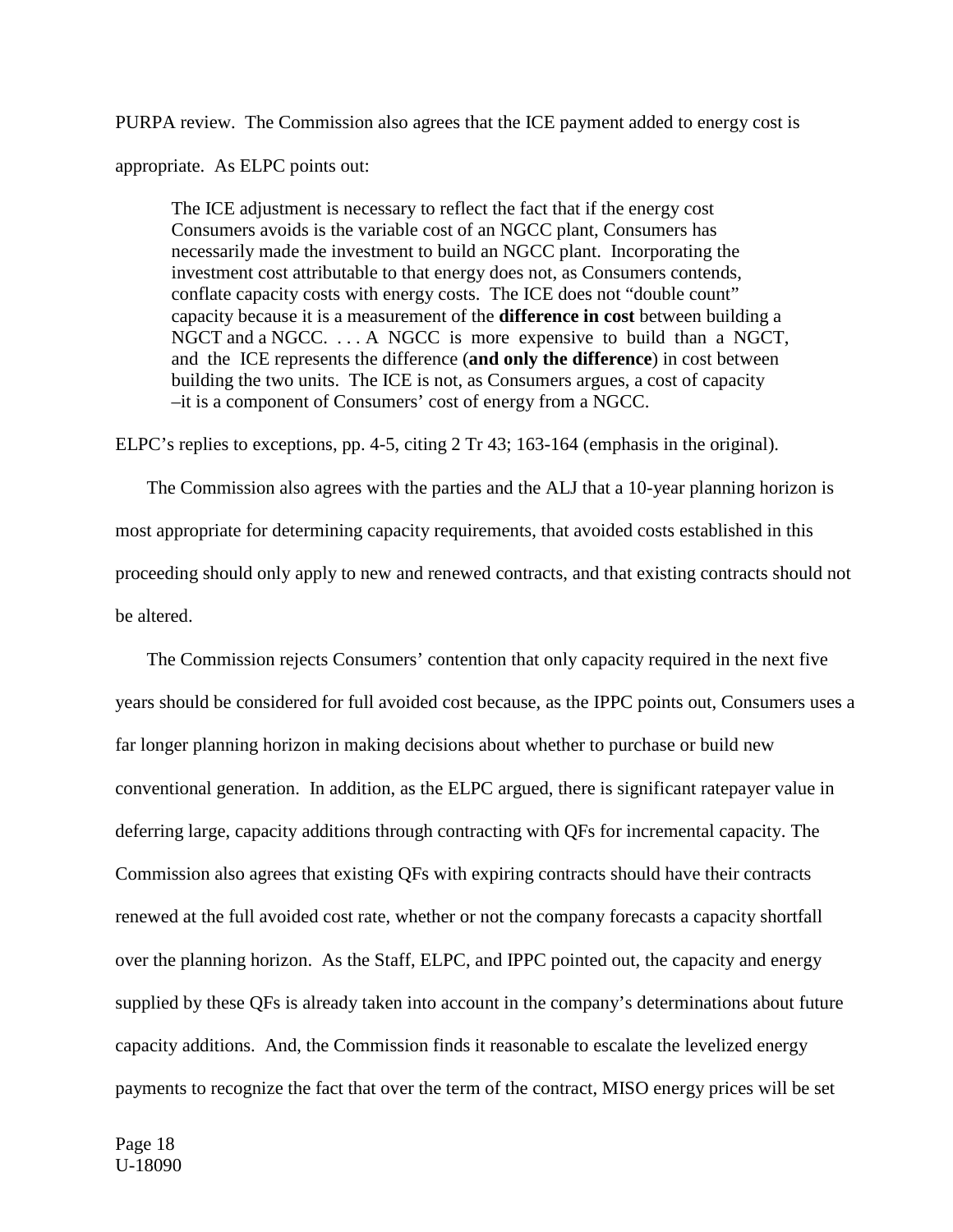PURPA review. The Commission also agrees that the ICE payment added to energy cost is

appropriate. As ELPC points out:

The ICE adjustment is necessary to reflect the fact that if the energy cost Consumers avoids is the variable cost of an NGCC plant, Consumers has necessarily made the investment to build an NGCC plant. Incorporating the investment cost attributable to that energy does not, as Consumers contends, conflate capacity costs with energy costs. The ICE does not "double count" capacity because it is a measurement of the **difference in cost** between building a NGCT and a NGCC. . . . A NGCC is more expensive to build than a NGCT, and the ICE represents the difference (**and only the difference**) in cost between building the two units. The ICE is not, as Consumers argues, a cost of capacity –it is a component of Consumers' cost of energy from a NGCC.

ELPC's replies to exceptions, pp. 4-5, citing 2 Tr 43; 163-164 (emphasis in the original).

The Commission also agrees with the parties and the ALJ that a 10-year planning horizon is most appropriate for determining capacity requirements, that avoided costs established in this proceeding should only apply to new and renewed contracts, and that existing contracts should not be altered.

The Commission rejects Consumers' contention that only capacity required in the next five years should be considered for full avoided cost because, as the IPPC points out, Consumers uses a far longer planning horizon in making decisions about whether to purchase or build new conventional generation. In addition, as the ELPC argued, there is significant ratepayer value in deferring large, capacity additions through contracting with QFs for incremental capacity. The Commission also agrees that existing QFs with expiring contracts should have their contracts renewed at the full avoided cost rate, whether or not the company forecasts a capacity shortfall over the planning horizon. As the Staff, ELPC, and IPPC pointed out, the capacity and energy supplied by these QFs is already taken into account in the company's determinations about future capacity additions. And, the Commission finds it reasonable to escalate the levelized energy payments to recognize the fact that over the term of the contract, MISO energy prices will be set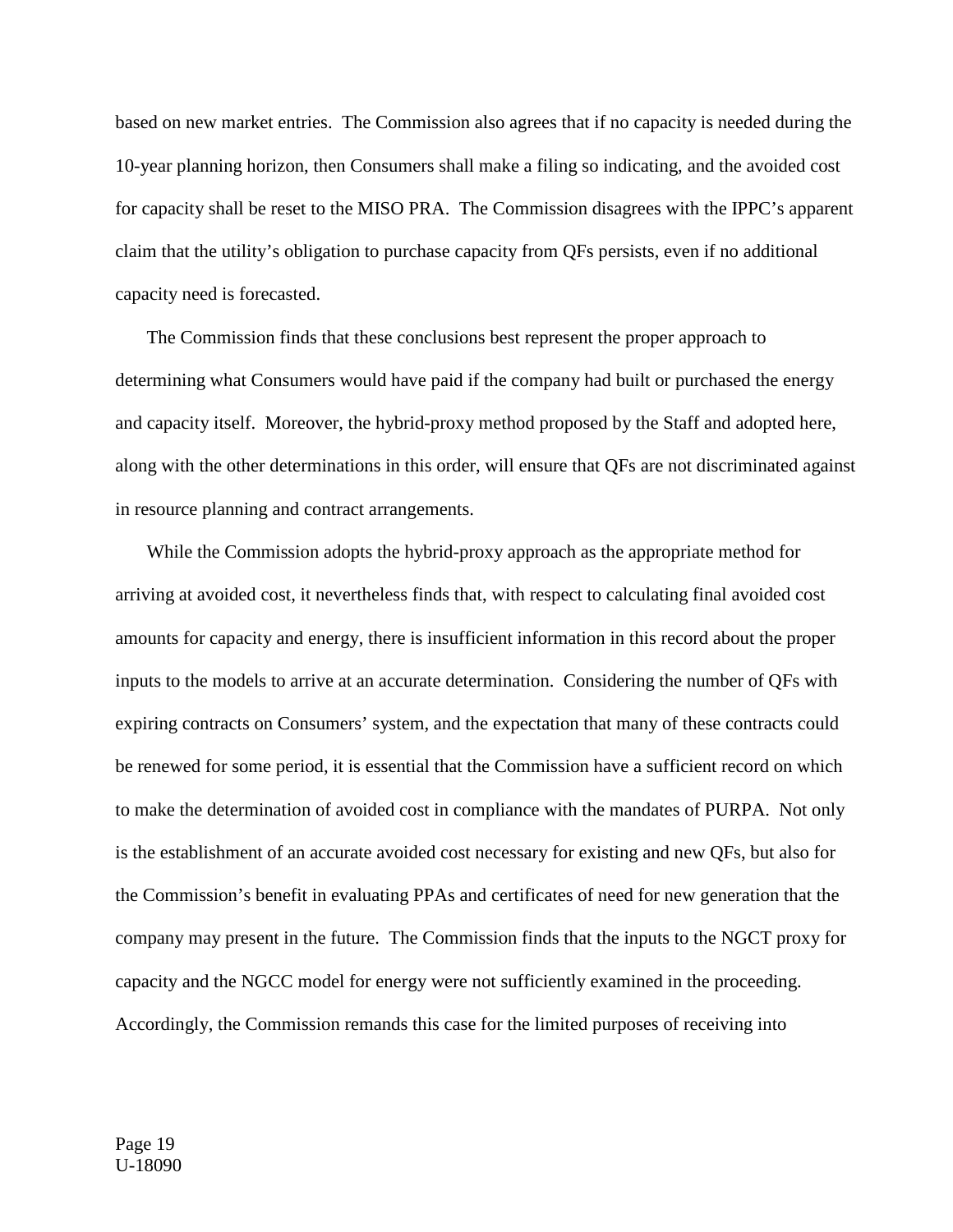based on new market entries. The Commission also agrees that if no capacity is needed during the 10-year planning horizon, then Consumers shall make a filing so indicating, and the avoided cost for capacity shall be reset to the MISO PRA. The Commission disagrees with the IPPC's apparent claim that the utility's obligation to purchase capacity from QFs persists, even if no additional capacity need is forecasted.

The Commission finds that these conclusions best represent the proper approach to determining what Consumers would have paid if the company had built or purchased the energy and capacity itself. Moreover, the hybrid-proxy method proposed by the Staff and adopted here, along with the other determinations in this order, will ensure that QFs are not discriminated against in resource planning and contract arrangements.

While the Commission adopts the hybrid-proxy approach as the appropriate method for arriving at avoided cost, it nevertheless finds that, with respect to calculating final avoided cost amounts for capacity and energy, there is insufficient information in this record about the proper inputs to the models to arrive at an accurate determination. Considering the number of QFs with expiring contracts on Consumers' system, and the expectation that many of these contracts could be renewed for some period, it is essential that the Commission have a sufficient record on which to make the determination of avoided cost in compliance with the mandates of PURPA. Not only is the establishment of an accurate avoided cost necessary for existing and new QFs, but also for the Commission's benefit in evaluating PPAs and certificates of need for new generation that the company may present in the future. The Commission finds that the inputs to the NGCT proxy for capacity and the NGCC model for energy were not sufficiently examined in the proceeding. Accordingly, the Commission remands this case for the limited purposes of receiving into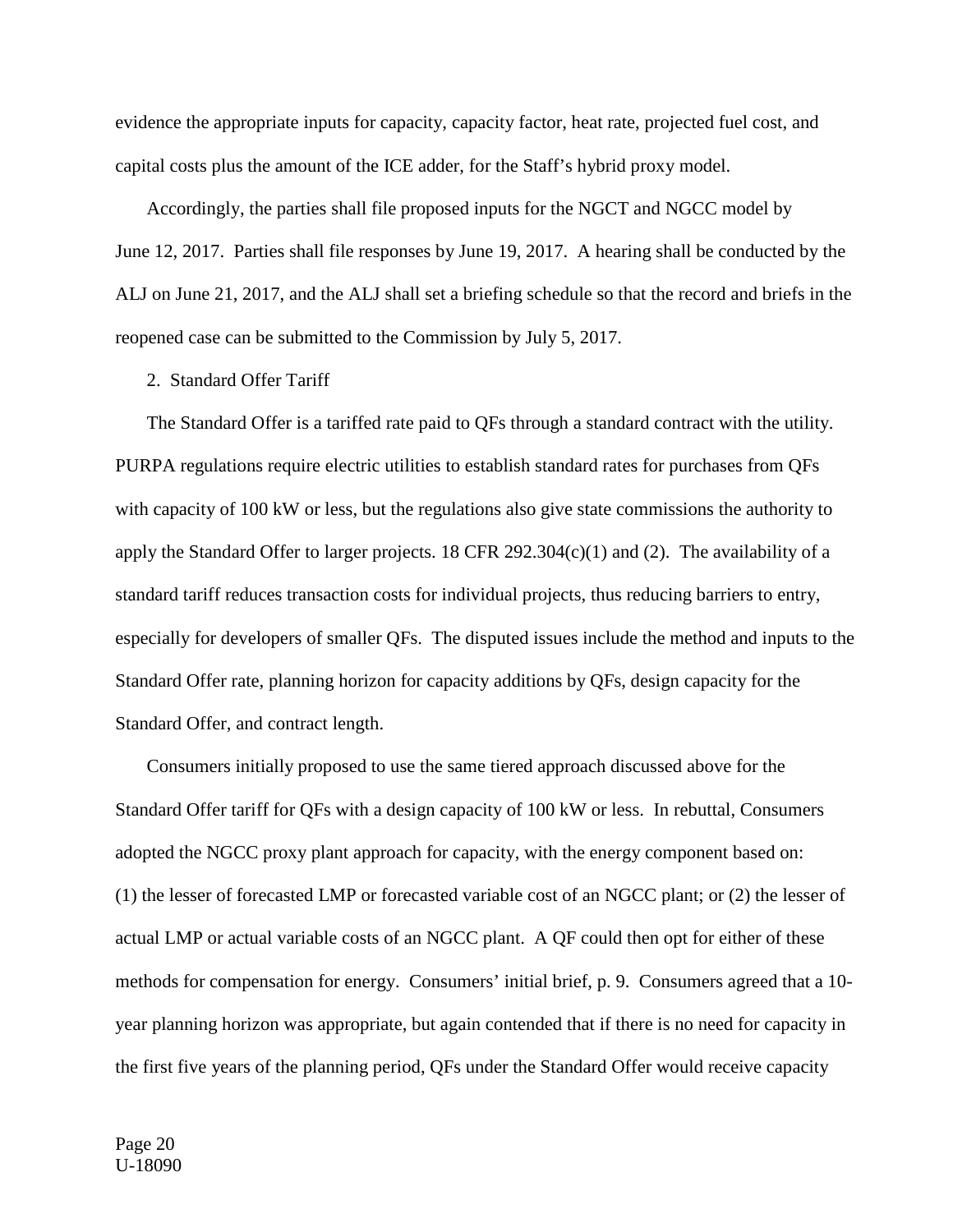evidence the appropriate inputs for capacity, capacity factor, heat rate, projected fuel cost, and capital costs plus the amount of the ICE adder, for the Staff's hybrid proxy model.

Accordingly, the parties shall file proposed inputs for the NGCT and NGCC model by June 12, 2017. Parties shall file responses by June 19, 2017. A hearing shall be conducted by the ALJ on June 21, 2017, and the ALJ shall set a briefing schedule so that the record and briefs in the reopened case can be submitted to the Commission by July 5, 2017.

#### 2. Standard Offer Tariff

The Standard Offer is a tariffed rate paid to QFs through a standard contract with the utility. PURPA regulations require electric utilities to establish standard rates for purchases from QFs with capacity of 100 kW or less, but the regulations also give state commissions the authority to apply the Standard Offer to larger projects. 18 CFR 292.304 $(c)(1)$  and  $(2)$ . The availability of a standard tariff reduces transaction costs for individual projects, thus reducing barriers to entry, especially for developers of smaller QFs. The disputed issues include the method and inputs to the Standard Offer rate, planning horizon for capacity additions by QFs, design capacity for the Standard Offer, and contract length.

Consumers initially proposed to use the same tiered approach discussed above for the Standard Offer tariff for QFs with a design capacity of 100 kW or less. In rebuttal, Consumers adopted the NGCC proxy plant approach for capacity, with the energy component based on: (1) the lesser of forecasted LMP or forecasted variable cost of an NGCC plant; or (2) the lesser of actual LMP or actual variable costs of an NGCC plant. A QF could then opt for either of these methods for compensation for energy. Consumers' initial brief, p. 9. Consumers agreed that a 10 year planning horizon was appropriate, but again contended that if there is no need for capacity in the first five years of the planning period, QFs under the Standard Offer would receive capacity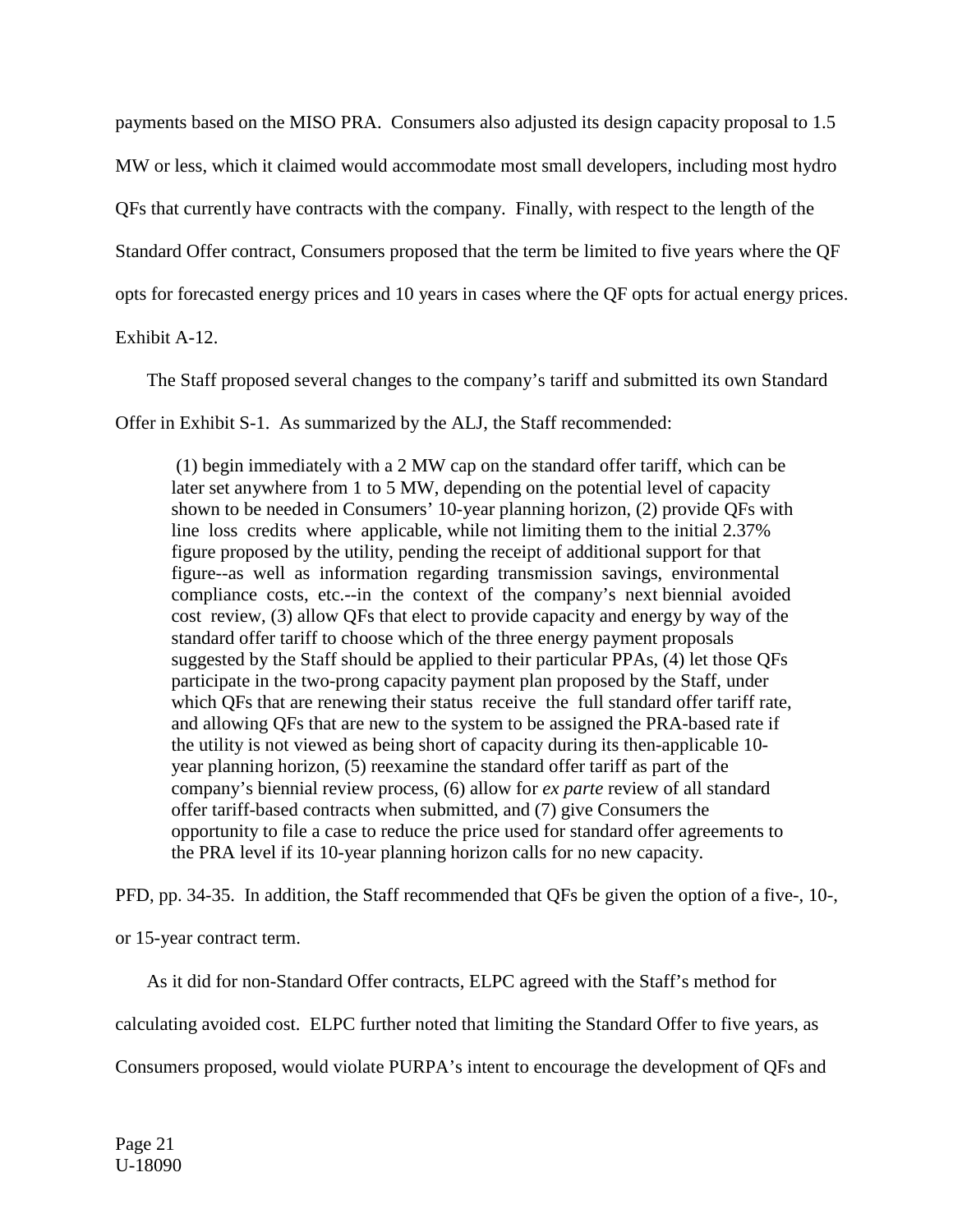payments based on the MISO PRA. Consumers also adjusted its design capacity proposal to 1.5 MW or less, which it claimed would accommodate most small developers, including most hydro QFs that currently have contracts with the company. Finally, with respect to the length of the Standard Offer contract, Consumers proposed that the term be limited to five years where the QF opts for forecasted energy prices and 10 years in cases where the QF opts for actual energy prices.

Exhibit A-12.

The Staff proposed several changes to the company's tariff and submitted its own Standard

Offer in Exhibit S-1. As summarized by the ALJ, the Staff recommended:

(1) begin immediately with a 2 MW cap on the standard offer tariff, which can be later set anywhere from 1 to 5 MW, depending on the potential level of capacity shown to be needed in Consumers' 10-year planning horizon, (2) provide QFs with line loss credits where applicable, while not limiting them to the initial 2.37% figure proposed by the utility, pending the receipt of additional support for that figure--as well as information regarding transmission savings, environmental compliance costs, etc.--in the context of the company's next biennial avoided cost review, (3) allow QFs that elect to provide capacity and energy by way of the standard offer tariff to choose which of the three energy payment proposals suggested by the Staff should be applied to their particular PPAs, (4) let those QFs participate in the two-prong capacity payment plan proposed by the Staff, under which QFs that are renewing their status receive the full standard offer tariff rate, and allowing QFs that are new to the system to be assigned the PRA-based rate if the utility is not viewed as being short of capacity during its then-applicable 10 year planning horizon, (5) reexamine the standard offer tariff as part of the company's biennial review process, (6) allow for *ex parte* review of all standard offer tariff-based contracts when submitted, and (7) give Consumers the opportunity to file a case to reduce the price used for standard offer agreements to the PRA level if its 10-year planning horizon calls for no new capacity.

PFD, pp. 34-35. In addition, the Staff recommended that QFs be given the option of a five-, 10-,

or 15-year contract term.

As it did for non-Standard Offer contracts, ELPC agreed with the Staff's method for calculating avoided cost. ELPC further noted that limiting the Standard Offer to five years, as Consumers proposed, would violate PURPA's intent to encourage the development of QFs and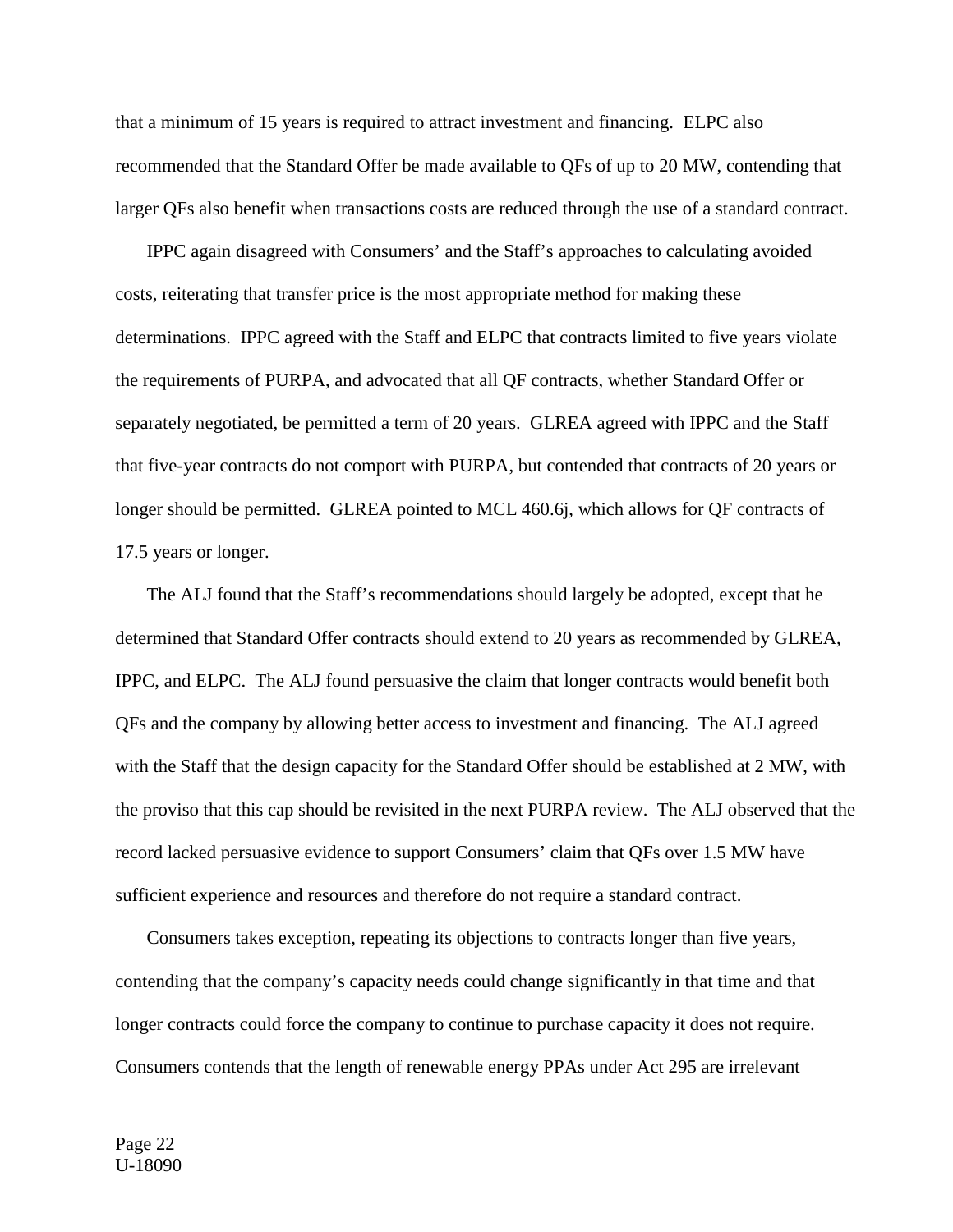that a minimum of 15 years is required to attract investment and financing. ELPC also recommended that the Standard Offer be made available to QFs of up to 20 MW, contending that larger QFs also benefit when transactions costs are reduced through the use of a standard contract.

IPPC again disagreed with Consumers' and the Staff's approaches to calculating avoided costs, reiterating that transfer price is the most appropriate method for making these determinations. IPPC agreed with the Staff and ELPC that contracts limited to five years violate the requirements of PURPA, and advocated that all QF contracts, whether Standard Offer or separately negotiated, be permitted a term of 20 years. GLREA agreed with IPPC and the Staff that five-year contracts do not comport with PURPA, but contended that contracts of 20 years or longer should be permitted. GLREA pointed to MCL 460.6j, which allows for QF contracts of 17.5 years or longer.

The ALJ found that the Staff's recommendations should largely be adopted, except that he determined that Standard Offer contracts should extend to 20 years as recommended by GLREA, IPPC, and ELPC. The ALJ found persuasive the claim that longer contracts would benefit both QFs and the company by allowing better access to investment and financing. The ALJ agreed with the Staff that the design capacity for the Standard Offer should be established at 2 MW, with the proviso that this cap should be revisited in the next PURPA review. The ALJ observed that the record lacked persuasive evidence to support Consumers' claim that QFs over 1.5 MW have sufficient experience and resources and therefore do not require a standard contract.

Consumers takes exception, repeating its objections to contracts longer than five years, contending that the company's capacity needs could change significantly in that time and that longer contracts could force the company to continue to purchase capacity it does not require. Consumers contends that the length of renewable energy PPAs under Act 295 are irrelevant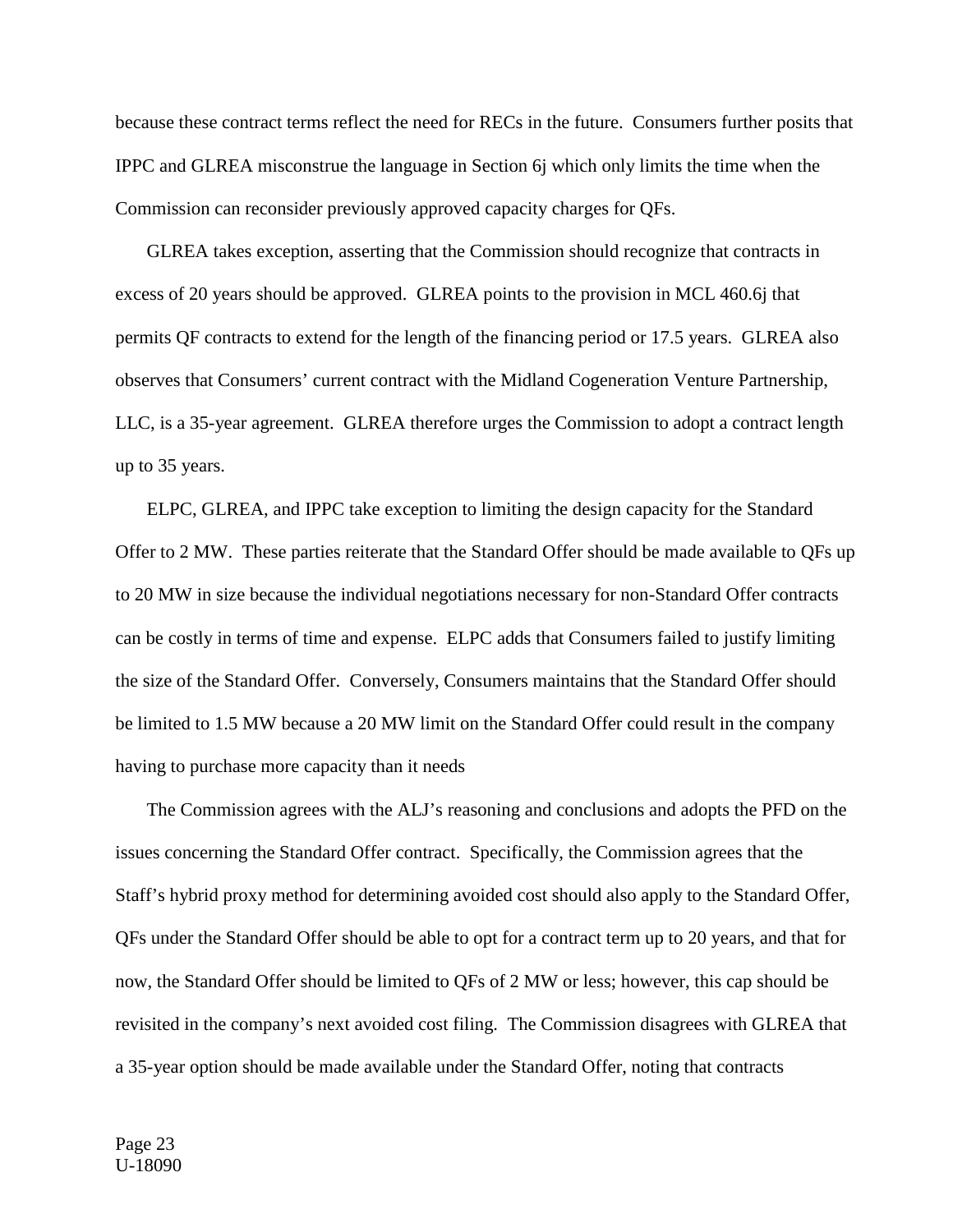because these contract terms reflect the need for RECs in the future. Consumers further posits that IPPC and GLREA misconstrue the language in Section 6j which only limits the time when the Commission can reconsider previously approved capacity charges for QFs.

GLREA takes exception, asserting that the Commission should recognize that contracts in excess of 20 years should be approved. GLREA points to the provision in MCL 460.6j that permits QF contracts to extend for the length of the financing period or 17.5 years. GLREA also observes that Consumers' current contract with the Midland Cogeneration Venture Partnership, LLC, is a 35-year agreement. GLREA therefore urges the Commission to adopt a contract length up to 35 years.

ELPC, GLREA, and IPPC take exception to limiting the design capacity for the Standard Offer to 2 MW. These parties reiterate that the Standard Offer should be made available to QFs up to 20 MW in size because the individual negotiations necessary for non-Standard Offer contracts can be costly in terms of time and expense. ELPC adds that Consumers failed to justify limiting the size of the Standard Offer. Conversely, Consumers maintains that the Standard Offer should be limited to 1.5 MW because a 20 MW limit on the Standard Offer could result in the company having to purchase more capacity than it needs

The Commission agrees with the ALJ's reasoning and conclusions and adopts the PFD on the issues concerning the Standard Offer contract. Specifically, the Commission agrees that the Staff's hybrid proxy method for determining avoided cost should also apply to the Standard Offer, QFs under the Standard Offer should be able to opt for a contract term up to 20 years, and that for now, the Standard Offer should be limited to QFs of 2 MW or less; however, this cap should be revisited in the company's next avoided cost filing. The Commission disagrees with GLREA that a 35-year option should be made available under the Standard Offer, noting that contracts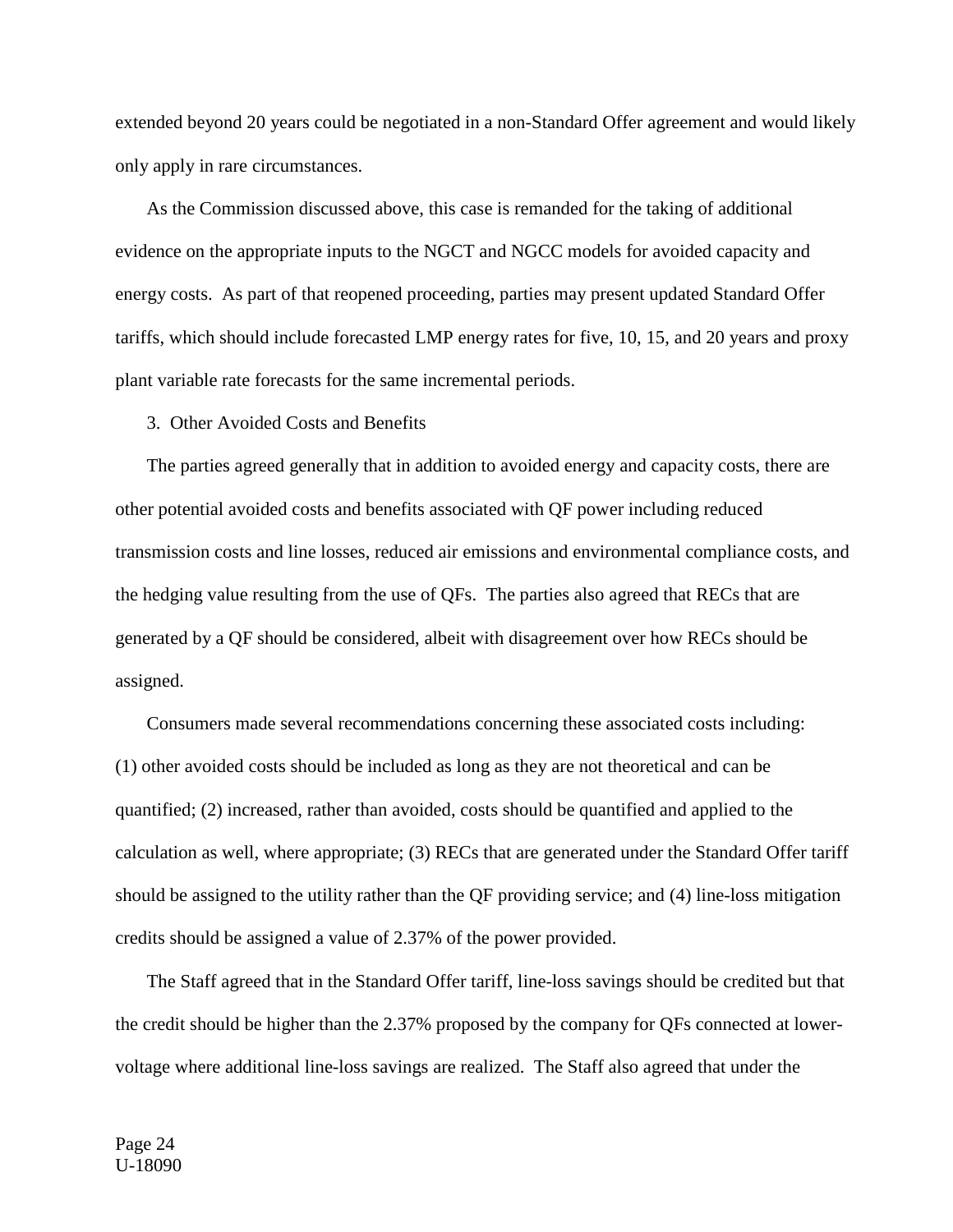extended beyond 20 years could be negotiated in a non-Standard Offer agreement and would likely only apply in rare circumstances.

As the Commission discussed above, this case is remanded for the taking of additional evidence on the appropriate inputs to the NGCT and NGCC models for avoided capacity and energy costs. As part of that reopened proceeding, parties may present updated Standard Offer tariffs, which should include forecasted LMP energy rates for five, 10, 15, and 20 years and proxy plant variable rate forecasts for the same incremental periods.

3. Other Avoided Costs and Benefits

The parties agreed generally that in addition to avoided energy and capacity costs, there are other potential avoided costs and benefits associated with QF power including reduced transmission costs and line losses, reduced air emissions and environmental compliance costs, and the hedging value resulting from the use of QFs. The parties also agreed that RECs that are generated by a QF should be considered, albeit with disagreement over how RECs should be assigned.

Consumers made several recommendations concerning these associated costs including: (1) other avoided costs should be included as long as they are not theoretical and can be quantified; (2) increased, rather than avoided, costs should be quantified and applied to the calculation as well, where appropriate; (3) RECs that are generated under the Standard Offer tariff should be assigned to the utility rather than the QF providing service; and (4) line-loss mitigation credits should be assigned a value of 2.37% of the power provided.

The Staff agreed that in the Standard Offer tariff, line-loss savings should be credited but that the credit should be higher than the 2.37% proposed by the company for QFs connected at lowervoltage where additional line-loss savings are realized. The Staff also agreed that under the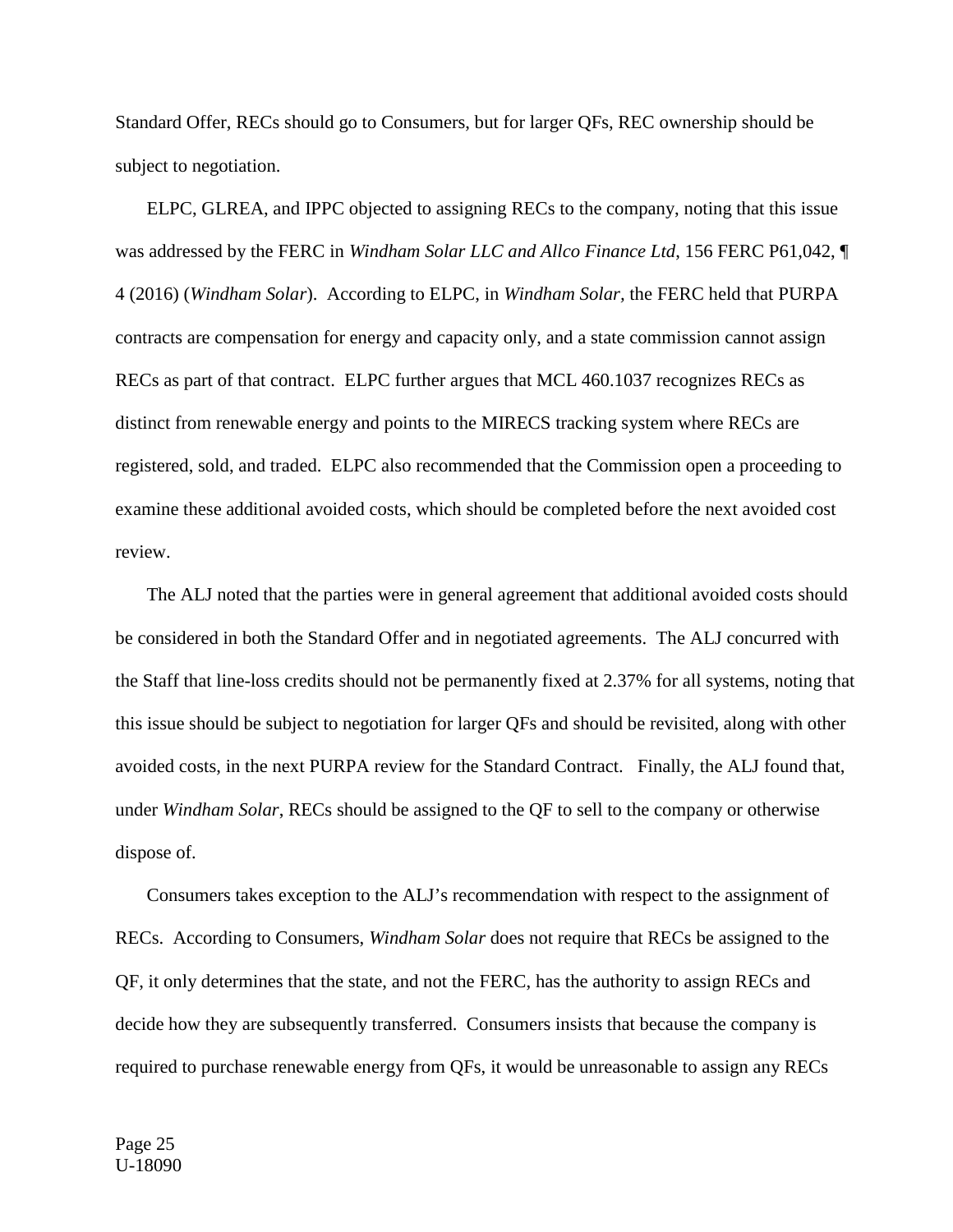Standard Offer, RECs should go to Consumers, but for larger QFs, REC ownership should be subject to negotiation.

ELPC, GLREA, and IPPC objected to assigning RECs to the company, noting that this issue was addressed by the FERC in *Windham Solar LLC and Allco Finance Ltd*, 156 FERC P61,042, ¶ 4 (2016) (*Windham Solar*). According to ELPC, in *Windham Solar,* the FERC held that PURPA contracts are compensation for energy and capacity only, and a state commission cannot assign RECs as part of that contract. ELPC further argues that MCL 460.1037 recognizes RECs as distinct from renewable energy and points to the MIRECS tracking system where RECs are registered, sold, and traded. ELPC also recommended that the Commission open a proceeding to examine these additional avoided costs, which should be completed before the next avoided cost review.

The ALJ noted that the parties were in general agreement that additional avoided costs should be considered in both the Standard Offer and in negotiated agreements. The ALJ concurred with the Staff that line-loss credits should not be permanently fixed at 2.37% for all systems, noting that this issue should be subject to negotiation for larger QFs and should be revisited, along with other avoided costs, in the next PURPA review for the Standard Contract. Finally, the ALJ found that, under *Windham Solar*, RECs should be assigned to the QF to sell to the company or otherwise dispose of.

Consumers takes exception to the ALJ's recommendation with respect to the assignment of RECs. According to Consumers, *Windham Solar* does not require that RECs be assigned to the QF, it only determines that the state, and not the FERC, has the authority to assign RECs and decide how they are subsequently transferred. Consumers insists that because the company is required to purchase renewable energy from QFs, it would be unreasonable to assign any RECs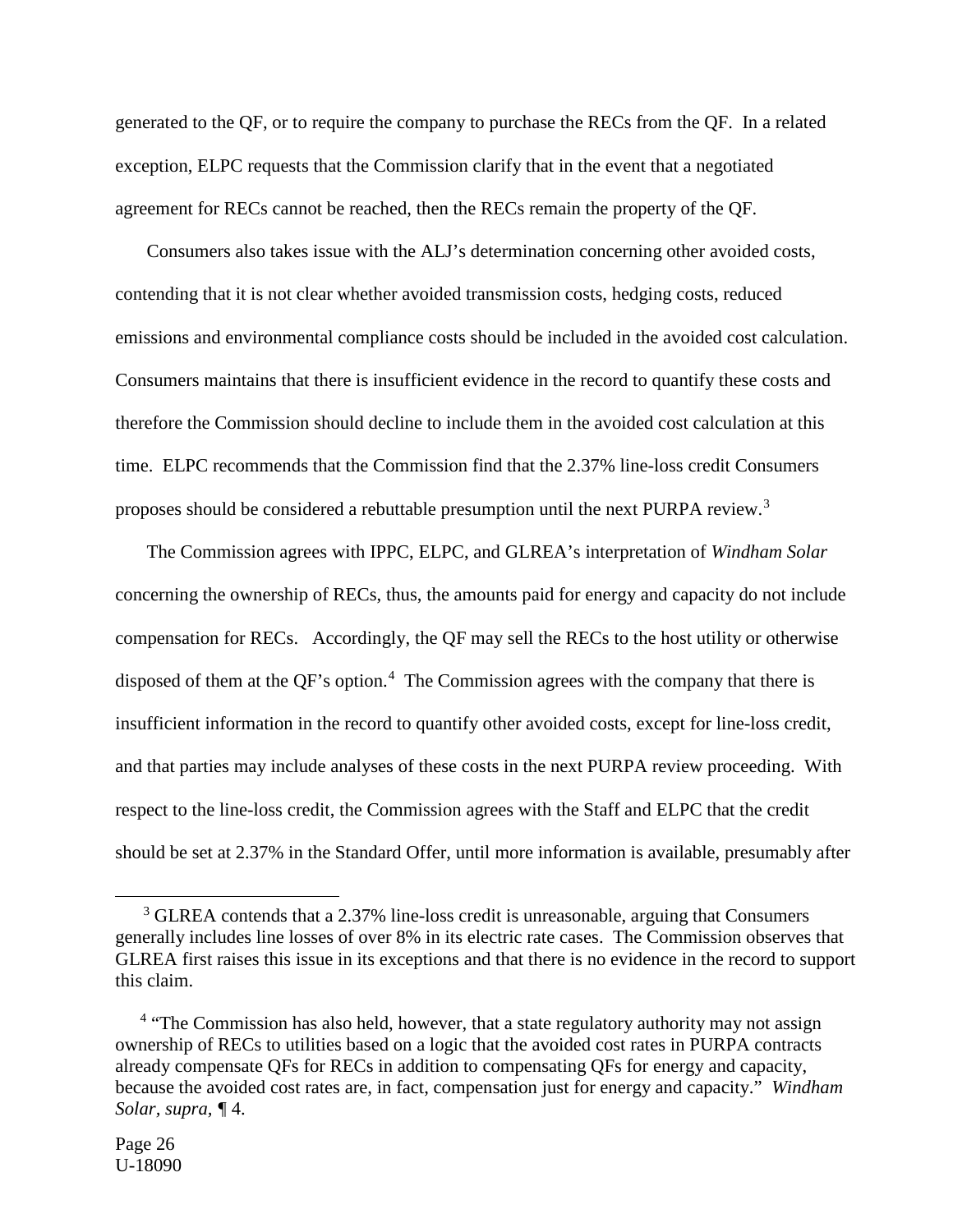generated to the QF, or to require the company to purchase the RECs from the QF. In a related exception, ELPC requests that the Commission clarify that in the event that a negotiated agreement for RECs cannot be reached, then the RECs remain the property of the QF.

Consumers also takes issue with the ALJ's determination concerning other avoided costs, contending that it is not clear whether avoided transmission costs, hedging costs, reduced emissions and environmental compliance costs should be included in the avoided cost calculation. Consumers maintains that there is insufficient evidence in the record to quantify these costs and therefore the Commission should decline to include them in the avoided cost calculation at this time. ELPC recommends that the Commission find that the 2.37% line-loss credit Consumers proposes should be considered a rebuttable presumption until the next PURPA review.[3](#page-25-0)

The Commission agrees with IPPC, ELPC, and GLREA's interpretation of *Windham Solar*  concerning the ownership of RECs, thus, the amounts paid for energy and capacity do not include compensation for RECs. Accordingly, the QF may sell the RECs to the host utility or otherwise disposed of them at the QF's option.<sup>[4](#page-25-1)</sup> The Commission agrees with the company that there is insufficient information in the record to quantify other avoided costs, except for line-loss credit, and that parties may include analyses of these costs in the next PURPA review proceeding. With respect to the line-loss credit, the Commission agrees with the Staff and ELPC that the credit should be set at 2.37% in the Standard Offer, until more information is available, presumably after

-

<span id="page-25-0"></span><sup>&</sup>lt;sup>3</sup> GLREA contends that a 2.37% line-loss credit is unreasonable, arguing that Consumers generally includes line losses of over 8% in its electric rate cases. The Commission observes that GLREA first raises this issue in its exceptions and that there is no evidence in the record to support this claim.

<span id="page-25-1"></span><sup>&</sup>lt;sup>4</sup> "The Commission has also held, however, that a state regulatory authority may not assign ownership of RECs to utilities based on a logic that the avoided cost rates in PURPA contracts already compensate QFs for RECs in addition to compensating QFs for energy and capacity, because the avoided cost rates are, in fact, compensation just for energy and capacity." *Windham Solar, supra, ¶* 4.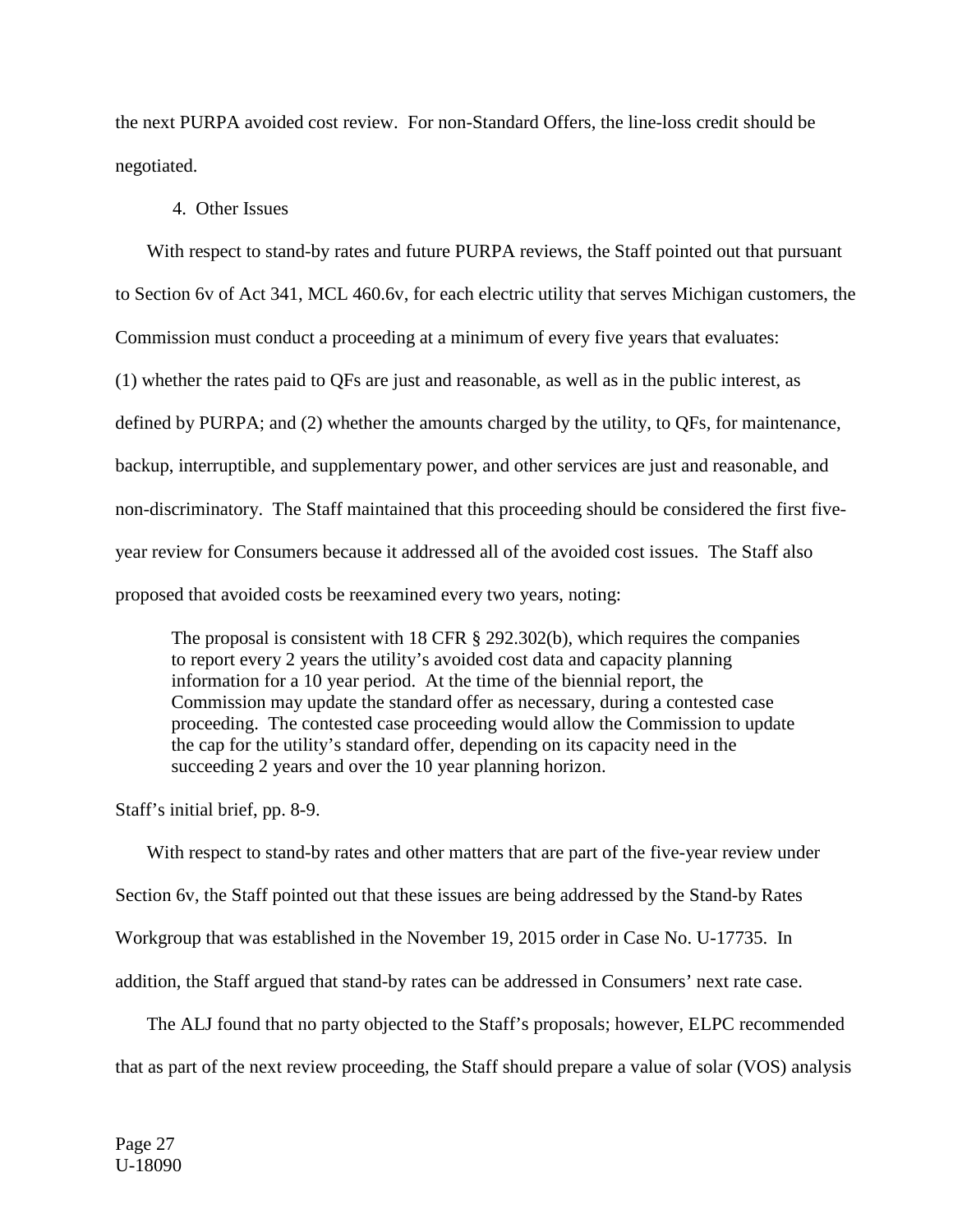the next PURPA avoided cost review. For non-Standard Offers, the line-loss credit should be negotiated.

#### 4. Other Issues

With respect to stand-by rates and future PURPA reviews, the Staff pointed out that pursuant

to Section 6v of Act 341, MCL 460.6v, for each electric utility that serves Michigan customers, the

Commission must conduct a proceeding at a minimum of every five years that evaluates:

(1) whether the rates paid to QFs are just and reasonable, as well as in the public interest, as

defined by PURPA; and (2) whether the amounts charged by the utility, to QFs, for maintenance,

backup, interruptible, and supplementary power, and other services are just and reasonable, and

non-discriminatory. The Staff maintained that this proceeding should be considered the first five-

year review for Consumers because it addressed all of the avoided cost issues. The Staff also

proposed that avoided costs be reexamined every two years, noting:

The proposal is consistent with 18 CFR § 292.302(b), which requires the companies to report every 2 years the utility's avoided cost data and capacity planning information for a 10 year period. At the time of the biennial report, the Commission may update the standard offer as necessary, during a contested case proceeding. The contested case proceeding would allow the Commission to update the cap for the utility's standard offer, depending on its capacity need in the succeeding 2 years and over the 10 year planning horizon.

Staff's initial brief, pp. 8-9.

With respect to stand-by rates and other matters that are part of the five-year review under Section 6v, the Staff pointed out that these issues are being addressed by the Stand-by Rates Workgroup that was established in the November 19, 2015 order in Case No. U-17735. In addition, the Staff argued that stand-by rates can be addressed in Consumers' next rate case.

The ALJ found that no party objected to the Staff's proposals; however, ELPC recommended that as part of the next review proceeding, the Staff should prepare a value of solar (VOS) analysis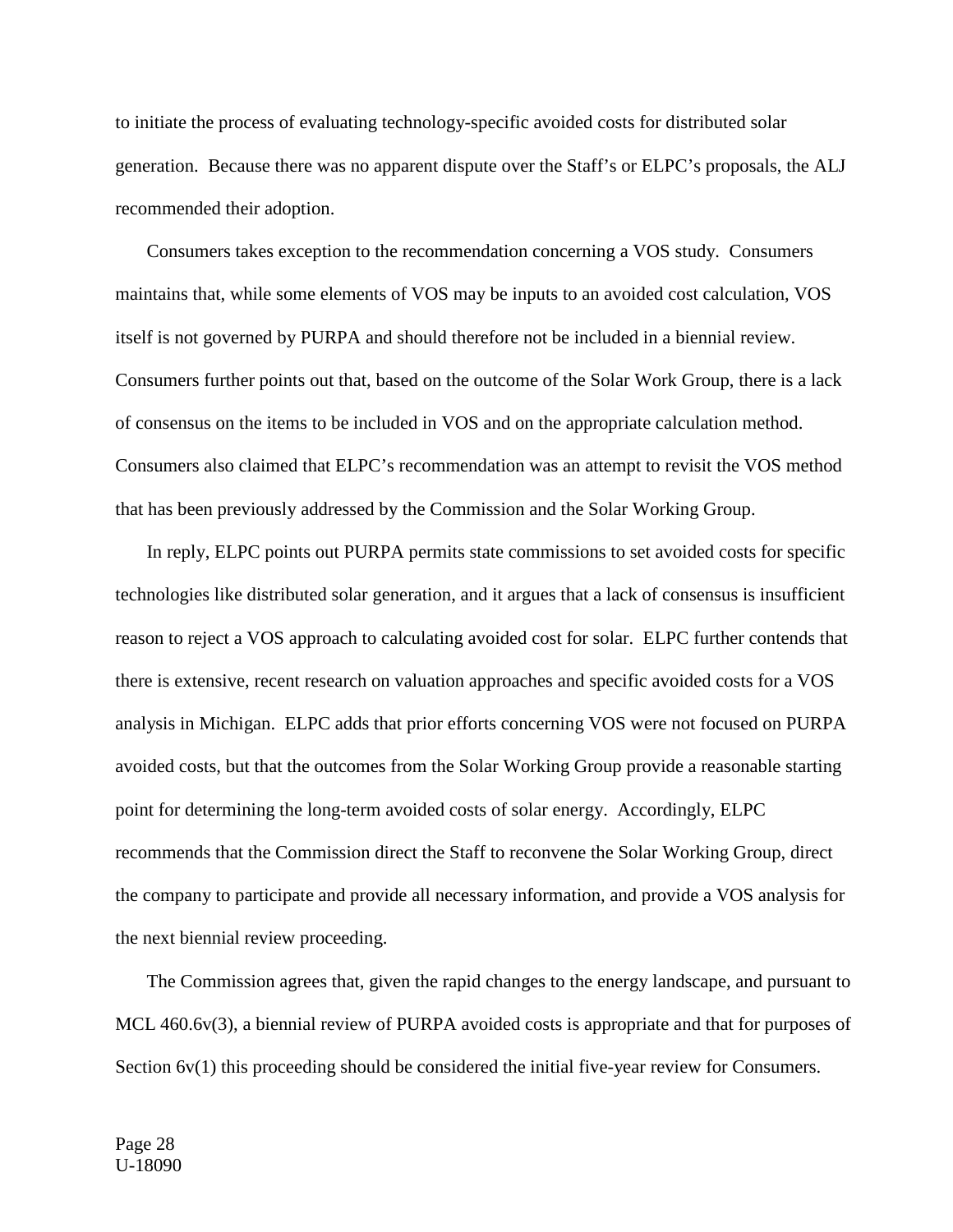to initiate the process of evaluating technology-specific avoided costs for distributed solar generation. Because there was no apparent dispute over the Staff's or ELPC's proposals, the ALJ recommended their adoption.

Consumers takes exception to the recommendation concerning a VOS study. Consumers maintains that, while some elements of VOS may be inputs to an avoided cost calculation, VOS itself is not governed by PURPA and should therefore not be included in a biennial review. Consumers further points out that, based on the outcome of the Solar Work Group, there is a lack of consensus on the items to be included in VOS and on the appropriate calculation method. Consumers also claimed that ELPC's recommendation was an attempt to revisit the VOS method that has been previously addressed by the Commission and the Solar Working Group.

In reply, ELPC points out PURPA permits state commissions to set avoided costs for specific technologies like distributed solar generation, and it argues that a lack of consensus is insufficient reason to reject a VOS approach to calculating avoided cost for solar. ELPC further contends that there is extensive, recent research on valuation approaches and specific avoided costs for a VOS analysis in Michigan. ELPC adds that prior efforts concerning VOS were not focused on PURPA avoided costs, but that the outcomes from the Solar Working Group provide a reasonable starting point for determining the long-term avoided costs of solar energy. Accordingly, ELPC recommends that the Commission direct the Staff to reconvene the Solar Working Group, direct the company to participate and provide all necessary information, and provide a VOS analysis for the next biennial review proceeding.

The Commission agrees that, given the rapid changes to the energy landscape, and pursuant to MCL 460.6v(3), a biennial review of PURPA avoided costs is appropriate and that for purposes of Section 6v(1) this proceeding should be considered the initial five-year review for Consumers.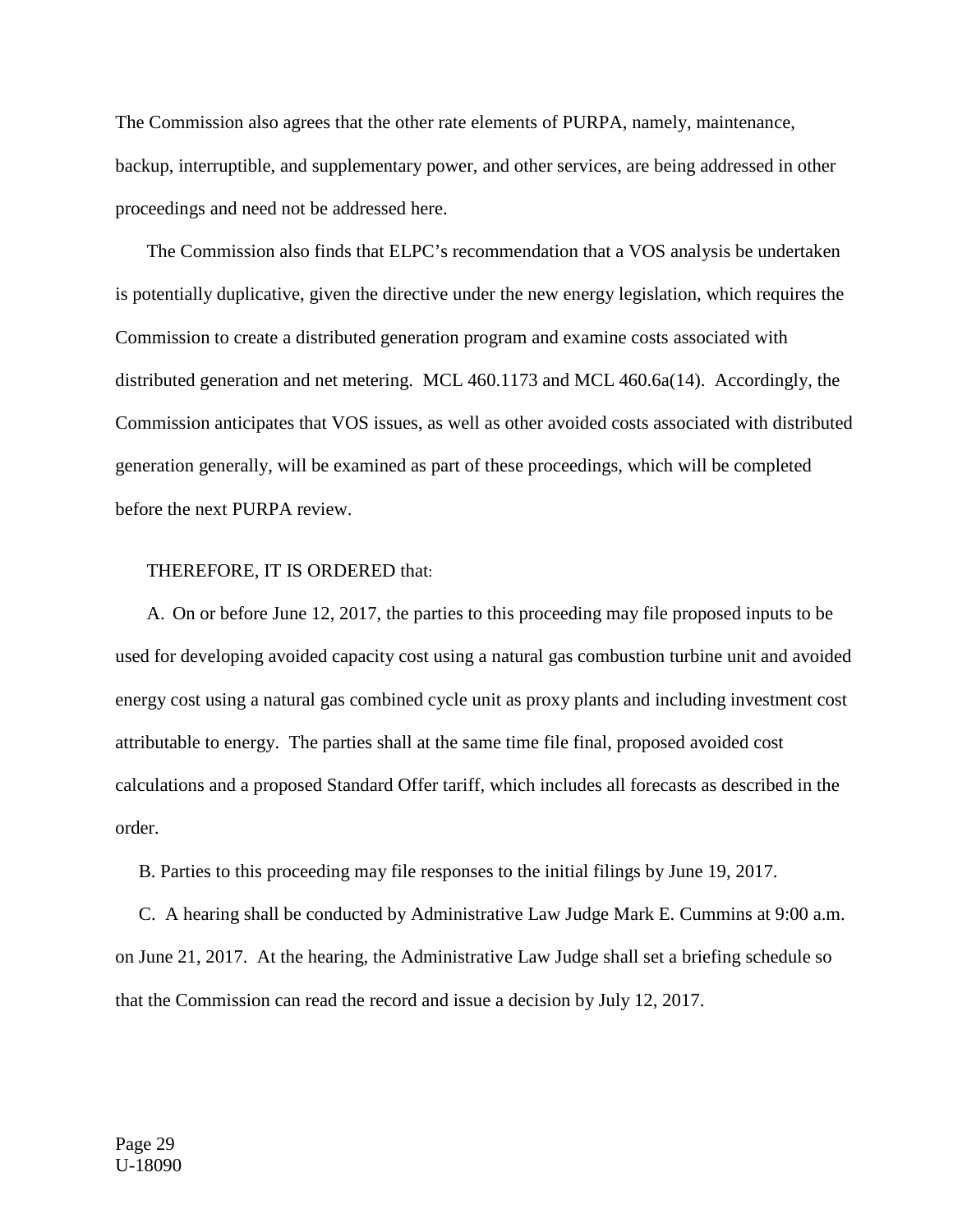The Commission also agrees that the other rate elements of PURPA, namely, maintenance, backup, interruptible, and supplementary power, and other services, are being addressed in other proceedings and need not be addressed here.

The Commission also finds that ELPC's recommendation that a VOS analysis be undertaken is potentially duplicative, given the directive under the new energy legislation, which requires the Commission to create a distributed generation program and examine costs associated with distributed generation and net metering. MCL 460.1173 and MCL 460.6a(14). Accordingly, the Commission anticipates that VOS issues, as well as other avoided costs associated with distributed generation generally, will be examined as part of these proceedings, which will be completed before the next PURPA review.

#### THEREFORE, IT IS ORDERED that:

A. On or before June 12, 2017, the parties to this proceeding may file proposed inputs to be used for developing avoided capacity cost using a natural gas combustion turbine unit and avoided energy cost using a natural gas combined cycle unit as proxy plants and including investment cost attributable to energy. The parties shall at the same time file final, proposed avoided cost calculations and a proposed Standard Offer tariff, which includes all forecasts as described in the order.

B. Parties to this proceeding may file responses to the initial filings by June 19, 2017.

 C. A hearing shall be conducted by Administrative Law Judge Mark E. Cummins at 9:00 a.m. on June 21, 2017. At the hearing, the Administrative Law Judge shall set a briefing schedule so that the Commission can read the record and issue a decision by July 12, 2017.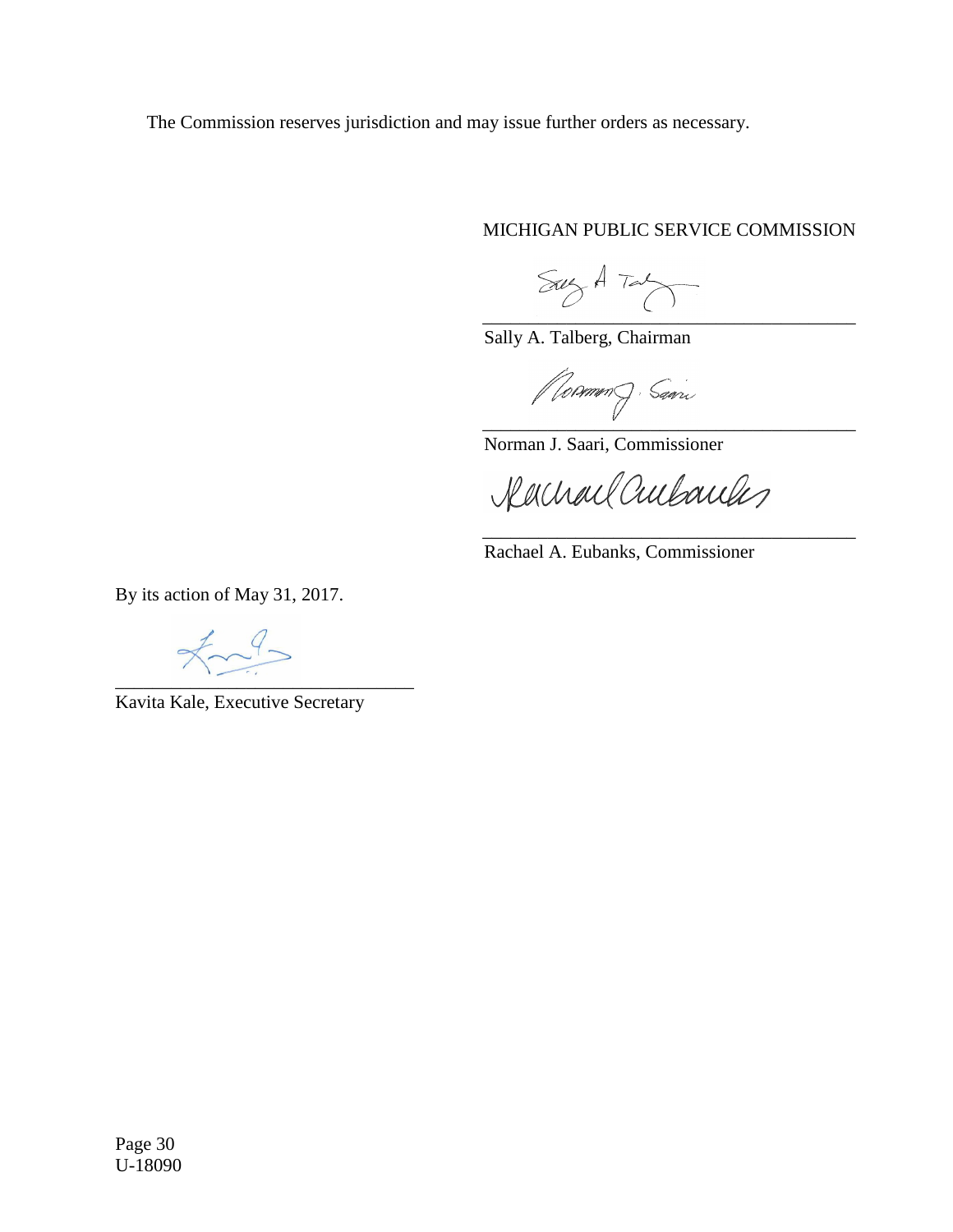The Commission reserves jurisdiction and may issue further orders as necessary.

## MICHIGAN PUBLIC SERVICE COMMISSION

\_\_\_\_\_\_\_\_\_\_\_\_\_\_\_\_\_\_\_\_\_\_\_\_\_\_\_\_\_\_\_\_\_\_\_\_\_\_\_\_

Sally A. Talberg, Chairman

\_\_\_\_\_\_\_\_\_\_\_\_\_\_\_\_\_\_\_\_\_\_\_\_\_\_\_\_\_\_\_\_\_\_\_\_\_\_\_\_

Norman J. Saari, Commissioner

Rachael Cultouchs

\_\_\_\_\_\_\_\_\_\_\_\_\_\_\_\_\_\_\_\_\_\_\_\_\_\_\_\_\_\_\_\_\_\_\_\_\_\_\_\_

Rachael A. Eubanks, Commissioner

By its action of May 31, 2017.

 $\text{Im} \theta$ \_\_\_\_\_\_\_\_\_\_\_\_\_\_\_\_\_\_\_\_\_\_\_\_\_\_\_\_\_\_\_\_

Kavita Kale, Executive Secretary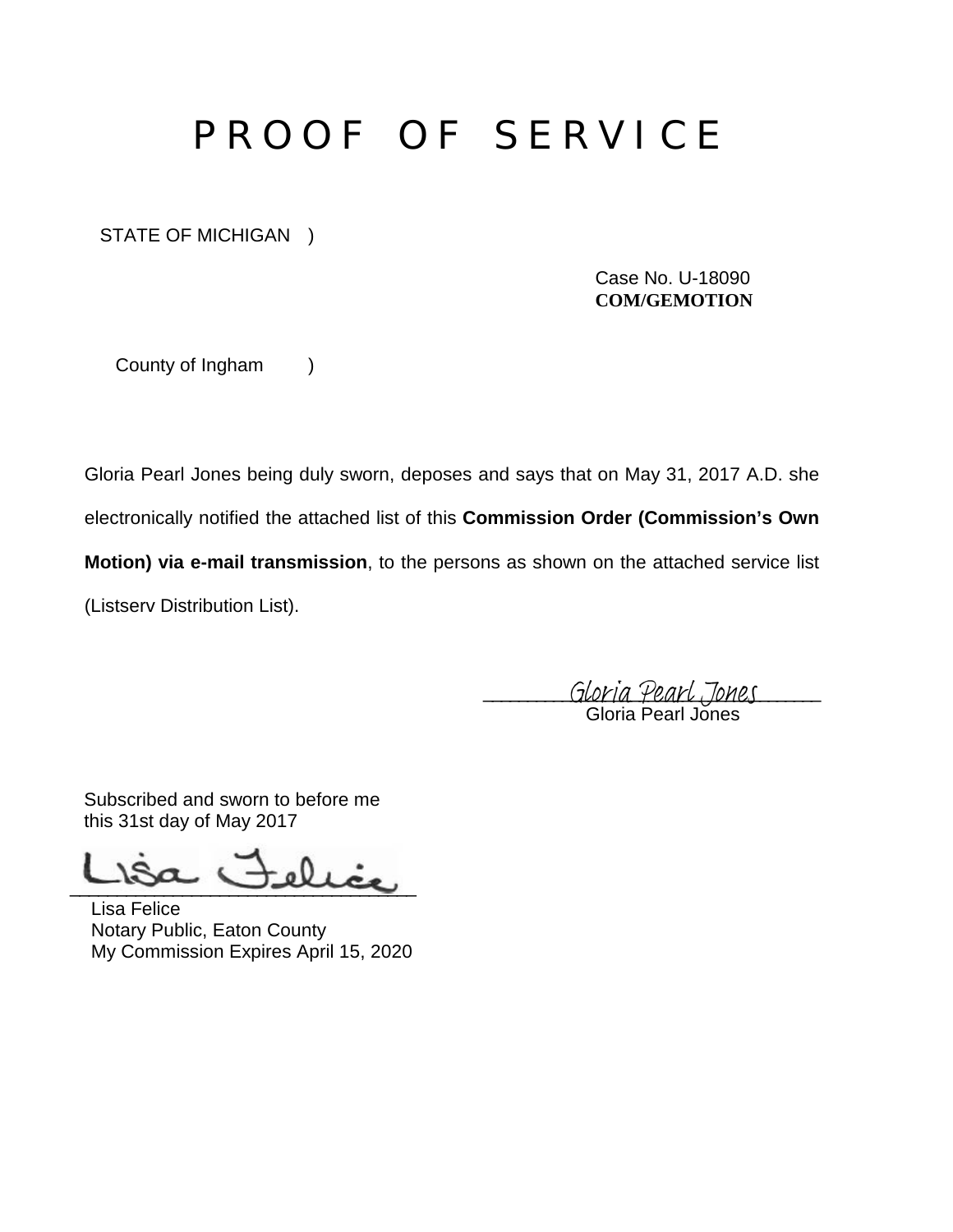# P R O O F O F S E R V I C E

STATE OF MICHIGAN )

Case No. U-18090 **COM/GEMOTION** 

County of Ingham )

Gloria Pearl Jones being duly sworn, deposes and says that on May 31, 2017 A.D. she

electronically notified the attached list of this **Commission Order (Commission's Own** 

**Motion) via e-mail transmission**, to the persons as shown on the attached service list

(Listserv Distribution List).

Gloria Pearl Jones Gloria Pearl Jones

Subscribed and sworn to before me this 31st day of May 2017

 $-\Omega_{\rm{dec}}$ 

Lisa Felice Notary Public, Eaton County My Commission Expires April 15, 2020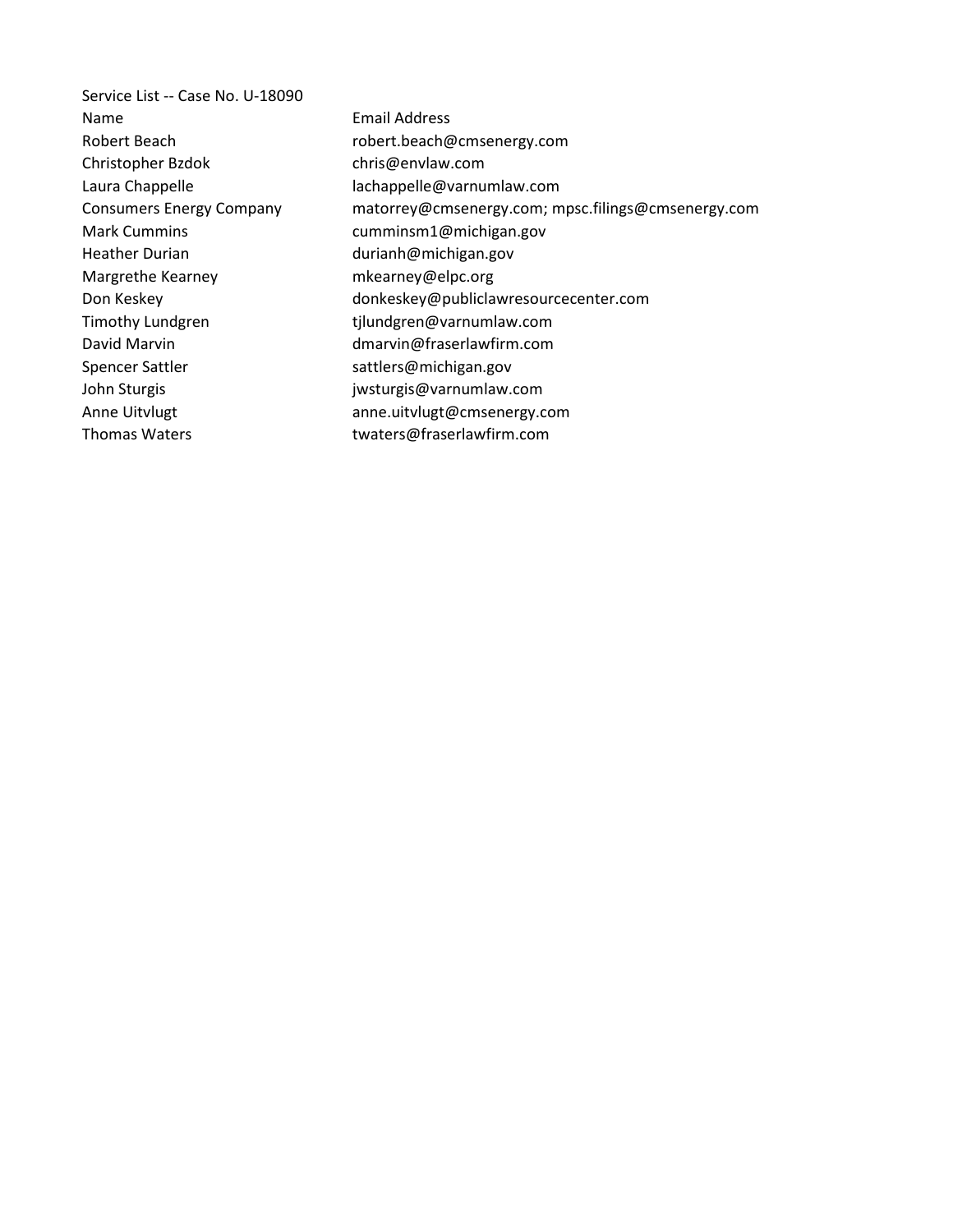Service List -- Case No. U-18090 Name Email Address Robert Beach robert.beach@cmsenergy.com Christopher Bzdok chris@envlaw.com Laura Chappelle and Lachappelle@varnumlaw.com Consumers Energy Company matorrey@cmsenergy.com; mpsc.filings@cmsenergy.com Mark Cummins **Mark Cummins Mark Cumminsm1@michigan.gov** Heather Durian durianh@michigan.gov Margrethe Kearney mkearney@elpc.org Don Keskey extending the donkeskey@publiclawresourcecenter.com Timothy Lundgren tilundgren@varnumlaw.com David Marvin dmarvin@fraserlawfirm.com Spencer Sattler sattlers@michigan.gov John Sturgis and The Sturgism is given by Sturgis@varnumlaw.com Anne Uitvlugt anne.uitvlugt@cmsenergy.com Thomas Waters Thomas Waters twaters@fraserlawfirm.com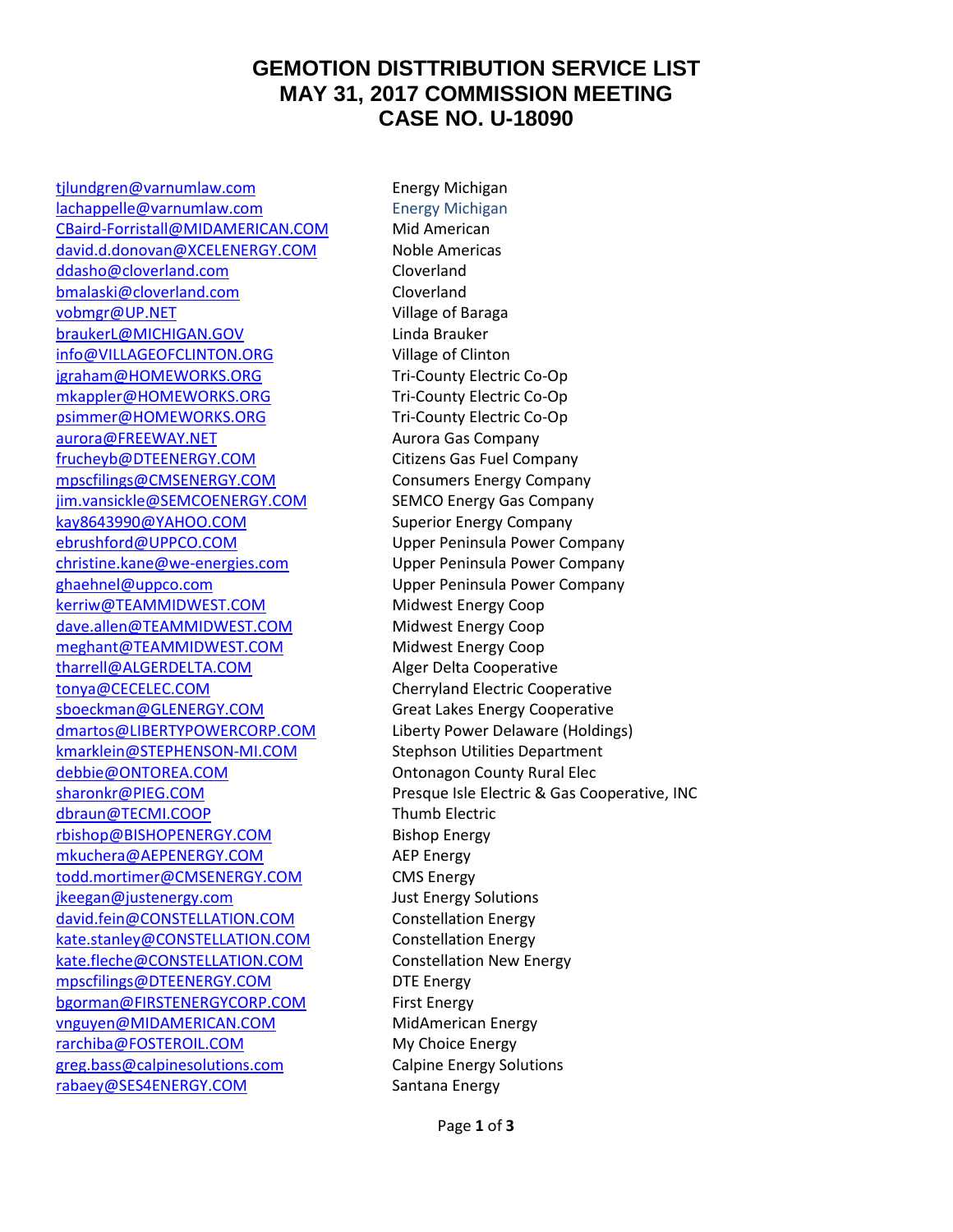## **GEMOTION DISTTRIBUTION SERVICE LIST MAY 31, 2017 COMMISSION MEETING CASE NO. U-18090**

tilundgren@varnumlaw.com Energy Michigan [lachappelle@varnumlaw.com](mailto:lachappelle@varnumlaw.com) Energy Michigan [CBaird-Forristall@MIDAMERICAN.COM](mailto:CBaird-Forristall@MIDAMERICAN.COM) Mid American [david.d.donovan@XCELENERGY.COM](mailto:david.d.donovan@XCELENERGY.COM) Noble Americas [ddasho@cloverland.com](mailto:ddasho@cloverland.com) Cloverland [bmalaski@cloverland.com](mailto:bmalaski@cloverland.com) Cloverland [vobmgr@UP.NET](mailto:vobmgr@UP.NET) Village of Baraga [braukerL@MICHIGAN.GOV](mailto:braukerL@MICHIGAN.GOV) Linda Brauker [info@VILLAGEOFCLINTON.ORG](mailto:info@VILLAGEOFCLINTON.ORG) Village of Clinton [jgraham@HOMEWORKS.ORG](mailto:jgraham@HOMEWORKS.ORG) Tri-County Electric Co-Op [mkappler@HOMEWORKS.ORG](mailto:mkappler@HOMEWORKS.ORG) Tri-County Electric Co-Op [psimmer@HOMEWORKS.ORG](mailto:psimmer@HOMEWORKS.ORG) Tri-County Electric Co-Op [aurora@FREEWAY.NET](mailto:aurora@FREEWAY.NET) Aurora Gas Company [frucheyb@DTEENERGY.COM](mailto:frucheyb@DTEENERGY.COM) Citizens Gas Fuel Company [mpscfilings@CMSENERGY.COM](mailto:mpscfilings@CMSENERGY.COM) Consumers Energy Company [jim.vansickle@SEMCOENERGY.COM](mailto:jim.vansickle@SEMCOENERGY.COM) SEMCO Energy Gas Company [kay8643990@YAHOO.COM](mailto:kay8643990@YAHOO.COM) Superior Energy Company [ebrushford@UPPCO.COM](mailto:ebrushford@UPPCO.COM) Upper Peninsula Power Company [christine.kane@we-energies.com](mailto:christine.kane@we-energies.com) Upper Peninsula Power Company [ghaehnel@uppco.com](mailto:ghaehnel@uppco.com) Upper Peninsula Power Company [kerriw@TEAMMIDWEST.COM](mailto:kerriw@TEAMMIDWEST.COM) Midwest Energy Coop [dave.allen@TEAMMIDWEST.COM](mailto:dave.allen@TEAMMIDWEST.COM) Midwest Energy Coop [meghant@TEAMMIDWEST.COM](mailto:meghant@TEAMMIDWEST.COM) Midwest Energy Coop [tharrell@ALGERDELTA.COM](mailto:tharrell@ALGERDELTA.COM) Alger Delta Cooperative [tonya@CECELEC.COM](mailto:tonya@CECELEC.COM) Cherryland Electric Cooperative [sboeckman@GLENERGY.COM](mailto:sboeckman@GLENERGY.COM) Great Lakes Energy Cooperative [dmartos@LIBERTYPOWERCORP.COM](mailto:dmartos@LIBERTYPOWERCORP.COM) Liberty Power Delaware (Holdings) [kmarklein@STEPHENSON-MI.COM](mailto:kmarklein@STEPHENSON-MI.COM) Stephson Utilities Department [debbie@ONTOREA.COM](mailto:debbie@ONTOREA.COM) Contonagon County Rural Elec [dbraun@TECMI.COOP](mailto:dbraun@TECMI.COOP) Thumb Electric [rbishop@BISHOPENERGY.COM](mailto:rbishop@BISHOPENERGY.COM) Bishop Energy [mkuchera@AEPENERGY.COM](mailto:mkuchera@AEPENERGY.COM) AEP Energy [todd.mortimer@CMSENERGY.COM](mailto:todd.mortimer@CMSENERGY.COM) CMS Energy [jkeegan@justenergy.com](mailto:jkeegan@justenergy.com) Just Energy Solutions [david.fein@CONSTELLATION.COM](mailto:david.fein@CONSTELLATION.COM) Constellation Energy [kate.stanley@CONSTELLATION.COM](mailto:kate.stanley@CONSTELLATION.COM) Constellation Energy [kate.fleche@CONSTELLATION.COM](mailto:kate.fleche@CONSTELLATION.COM) Constellation New Energy [mpscfilings@DTEENERGY.COM](mailto:mpscfilings@DTEENERGY.COM) DTE Energy [bgorman@FIRSTENERGYCORP.COM](mailto:bgorman@FIRSTENERGYCORP.COM) First Energy [vnguyen@MIDAMERICAN.COM](mailto:vnguyen@MIDAMERICAN.COM) MidAmerican Energy [rarchiba@FOSTEROIL.COM](mailto:rarchiba@FOSTEROIL.COM) My Choice Energy [greg.bass@calpinesolutions.com](mailto:greg.bass@calpinesolutions.com) Calpine Energy Solutions [rabaey@SES4ENERGY.COM](mailto:rabaey@SES4ENERGY.COM) Santana Energy

[sharonkr@PIEG.COM](mailto:sharonkr@PIEG.COM) Presque Isle Electric & Gas Cooperative, INC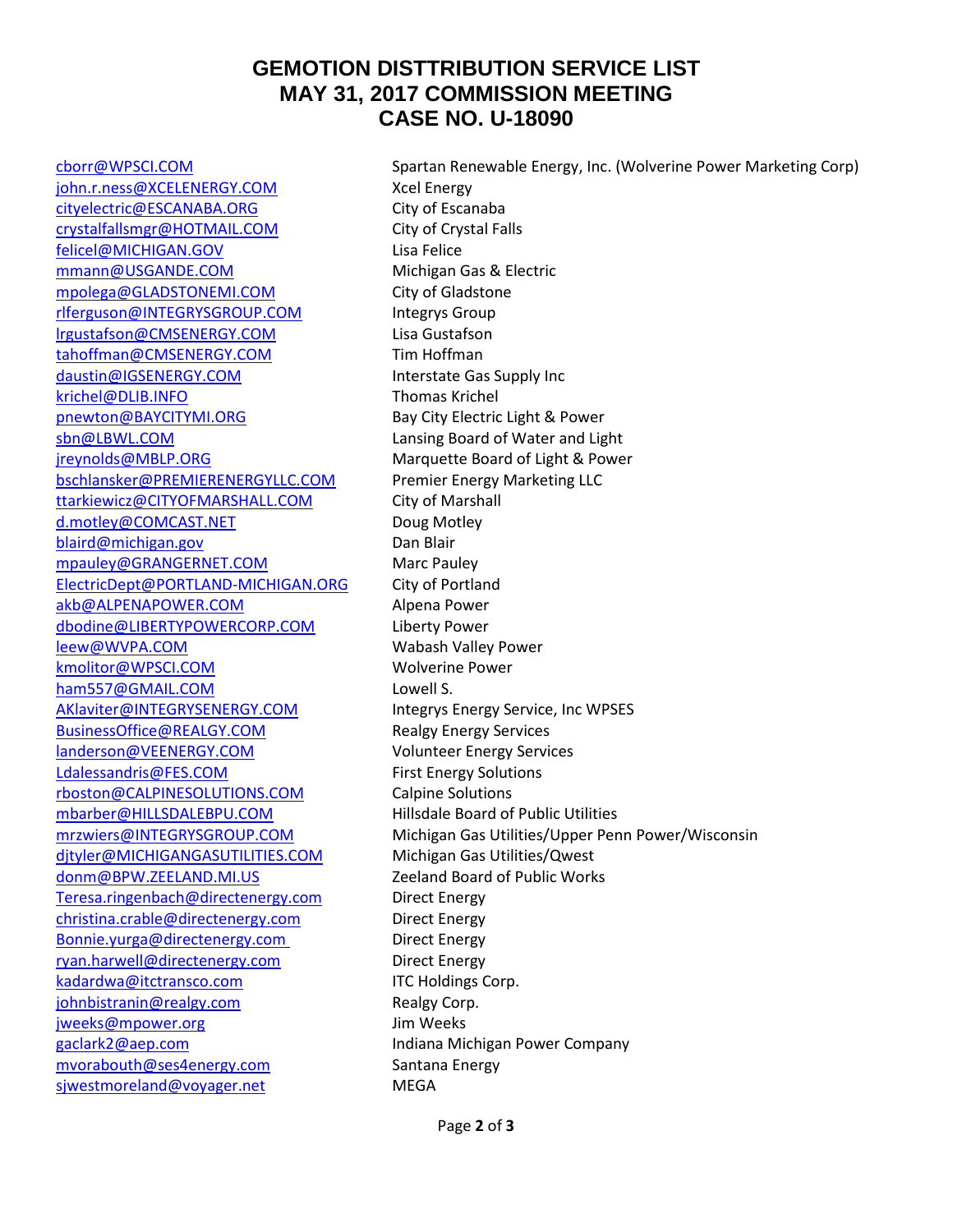## **GEMOTION DISTTRIBUTION SERVICE LIST MAY 31, 2017 COMMISSION MEETING CASE NO. U-18090**

[john.r.ness@XCELENERGY.COM](mailto:john.r.ness@XCELENERGY.COM) Xcel Energy [cityelectric@ESCANABA.ORG](mailto:cityelectric@ESCANABA.ORG) City of Escanaba [crystalfallsmgr@HOTMAIL.COM](mailto:crystalfallsmgr@HOTMAIL.COM) City of Crystal Falls [felicel@MICHIGAN.GOV](mailto:felicel@MICHIGAN.GOV) Lisa Felice [mmann@USGANDE.COM](mailto:mmann@USGANDE.COM) Michigan Gas & Electric [mpolega@GLADSTONEMI.COM](mailto:mpolega@GLADSTONEMI.COM) City of Gladstone [rlferguson@INTEGRYSGROUP.COM](mailto:rlferguson@INTEGRYSGROUP.COM) Integrys Group [lrgustafson@CMSENERGY.COM](mailto:lrgustafson@CMSENERGY.COM) Lisa Gustafson [tahoffman@CMSENERGY.COM](mailto:tahoffman@CMSENERGY.COM) Tim Hoffman [daustin@IGSENERGY.COM](mailto:daustin@IGSENERGY.COM) Interstate Gas Supply Inc [krichel@DLIB.INFO](mailto:krichel@DLIB.INFO) Thomas Krichel [pnewton@BAYCITYMI.ORG](mailto:pnewton@BAYCITYMI.ORG) Bay City Electric Light & Power [sbn@LBWL.COM](mailto:sbn@LBWL.COM) **Lansing Board of Water and Light** [jreynolds@MBLP.ORG](mailto:jreynolds@MBLP.ORG) Marquette Board of Light & Power [bschlansker@PREMIERENERGYLLC.COM](mailto:bschlansker@PREMIERENERGYLLC.COM) Premier Energy Marketing LLC [ttarkiewicz@CITYOFMARSHALL.COM](mailto:ttarkiewicz@CITYOFMARSHALL.COM) City of Marshall [d.motley@COMCAST.NET](mailto:d.motley@COMCAST.NET) Doug Motley [blaird@michigan.gov](mailto:blaird@michigan.gov) Dan Blair [mpauley@GRANGERNET.COM](mailto:mpauley@GRANGERNET.COM) Marc Pauley [ElectricDept@PORTLAND-MICHIGAN.ORG](mailto:ElectricDept@PORTLAND-MICHIGAN.ORG) City of Portland [akb@ALPENAPOWER.COM](mailto:akb@ALPENAPOWER.COM) Alpena Power [dbodine@LIBERTYPOWERCORP.COM](mailto:dbodine@LIBERTYPOWERCORP.COM) Liberty Power [leew@WVPA.COM](mailto:leew@WVPA.COM) Wabash Valley Power [kmolitor@WPSCI.COM](mailto:kmolitor@WPSCI.COM) Wolverine Power [ham557@GMAIL.COM](mailto:ham557@GMAIL.COM) Lowell S. [AKlaviter@INTEGRYSENERGY.COM](mailto:AKlaviter@INTEGRYSENERGY.COM) Integrys Energy Service, Inc WPSES [BusinessOffice@REALGY.COM](mailto:BusinessOffice@REALGY.COM) Realgy Energy Services [landerson@VEENERGY.COM](mailto:landerson@VEENERGY.COM) Volunteer Energy Services [Ldalessandris@FES.COM](mailto:Ldalessandris@FES.COM) First Energy Solutions [rboston@CALPINESOLUTIONS.COM](mailto:rboston@CALPINESOLUTIONS.COM) Calpine Solutions [mbarber@HILLSDALEBPU.COM](mailto:mbarber@HILLSDALEBPU.COM) Hillsdale Board of Public Utilities [djtyler@MICHIGANGASUTILITIES.COM](mailto:djtyler@MICHIGANGASUTILITIES.COM) Michigan Gas Utilities/Qwest [donm@BPW.ZEELAND.MI.US](mailto:donm@BPW.ZEELAND.MI.US) Zeeland Board of Public Works [Teresa.ringenbach@directenergy.com](mailto:Teresa.ringenbach@directenergy.com) Direct Energy [christina.crable@directenergy.com](mailto:christina.crable@directenergy.com) Direct Energy [Bonnie.yurga@directenergy.com](mailto:Bonnie.yurga@directenergy.com) Direct Energy [ryan.harwell@directenergy.com](mailto:ryan.harwell@directenergy.com) Direct Energy [kadardwa@itctransco.com](mailto:kadardwa@itctransco.com) ITC Holdings Corp. [johnbistranin@realgy.com](mailto:johnbistranin@realgy.com) Realgy Corp. [jweeks@mpower.org](mailto:jweeks@mpower.org) Jim Weeks [gaclark2@aep.com](mailto:gaclark2@aep.com) **Indiana Michigan Power Company** [mvorabouth@ses4energy.com](mailto:mvorabouth@ses4energy.com) Santana Energy [sjwestmoreland@voyager.net](mailto:sjwestmoreland@voyager.net) MEGA

[cborr@WPSCI.COM](mailto:cborr@WPSCI.COM) Spartan Renewable Energy, Inc. (Wolverine Power Marketing Corp) [mrzwiers@INTEGRYSGROUP.COM](mailto:mrzwiers@INTEGRYSGROUP.COM) Michigan Gas Utilities/Upper Penn Power/Wisconsin